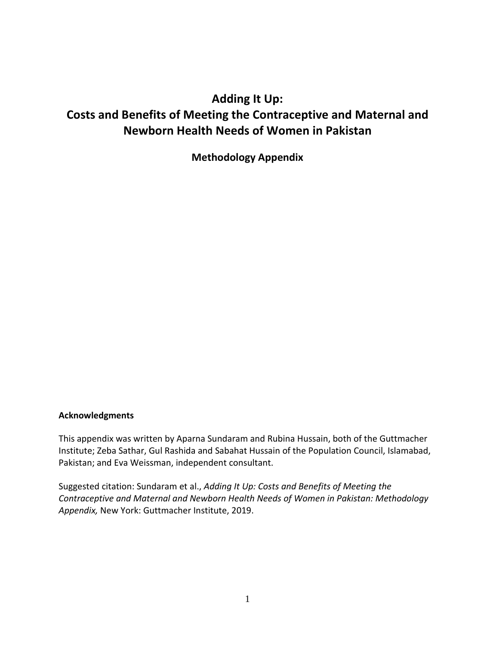# **Adding It Up: Costs and Benefits of Meeting the Contraceptive and Maternal and Newborn Health Needs of Women in Pakistan**

**Methodology Appendix**

#### **Acknowledgments**

This appendix was written by Aparna Sundaram and Rubina Hussain, both of the Guttmacher Institute; Zeba Sathar, Gul Rashida and Sabahat Hussain of the Population Council, Islamabad, Pakistan; and Eva Weissman, independent consultant.

Suggested citation: Sundaram et al., *Adding It Up: Costs and Benefits of Meeting the Contraceptive and Maternal and Newborn Health Needs of Women in Pakistan: Methodology Appendix,* New York: Guttmacher Institute, 2019.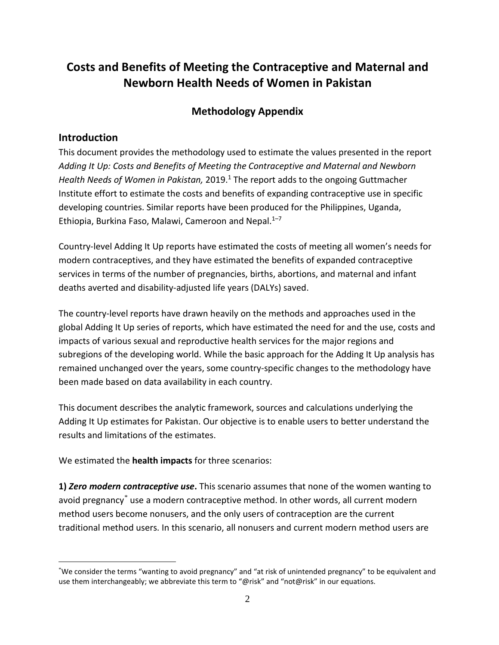# **Costs and Benefits of Meeting the Contraceptive and Maternal and Newborn Health Needs of Women in Pakistan**

# **Methodology Appendix**

# **Introduction**

This document provides the methodology used to estimate the values presented in the report *Adding It Up: Costs and Benefits of Meeting the Contraceptive and Maternal and Newborn Health Needs of Women in Pakistan,* 2019.<sup>1</sup> The report adds to the ongoing Guttmacher Institute effort to estimate the costs and benefits of expanding contraceptive use in specific developing countries. Similar reports have been produced for the Philippines, Uganda, Ethiopia, Burkina Faso, Malawi, Cameroon and Nepal.<sup>1-7</sup>

Country-level Adding It Up reports have estimated the costs of meeting all women's needs for modern contraceptives, and they have estimated the benefits of expanded contraceptive services in terms of the number of pregnancies, births, abortions, and maternal and infant deaths averted and disability-adjusted life years (DALYs) saved.

The country-level reports have drawn heavily on the methods and approaches used in the global Adding It Up series of reports, which have estimated the need for and the use, costs and impacts of various sexual and reproductive health services for the major regions and subregions of the developing world. While the basic approach for the Adding It Up analysis has remained unchanged over the years, some country-specific changes to the methodology have been made based on data availability in each country.

This document describes the analytic framework, sources and calculations underlying the Adding It Up estimates for Pakistan. Our objective is to enable users to better understand the results and limitations of the estimates.

We estimated the **health impacts** for three scenarios:

**1)** *Zero modern contraceptive use***.** This scenario assumes that none of the women wanting to avoid pregnancy[\\*](#page-1-0) use a modern contraceptive method. In other words, all current modern method users become nonusers, and the only users of contraception are the current traditional method users. In this scenario, all nonusers and current modern method users are

<span id="page-1-0"></span> <sup>\*</sup> We consider the terms "wanting to avoid pregnancy" and "at risk of unintended pregnancy" to be equivalent and use them interchangeably; we abbreviate this term to "@risk" and "not@risk" in our equations.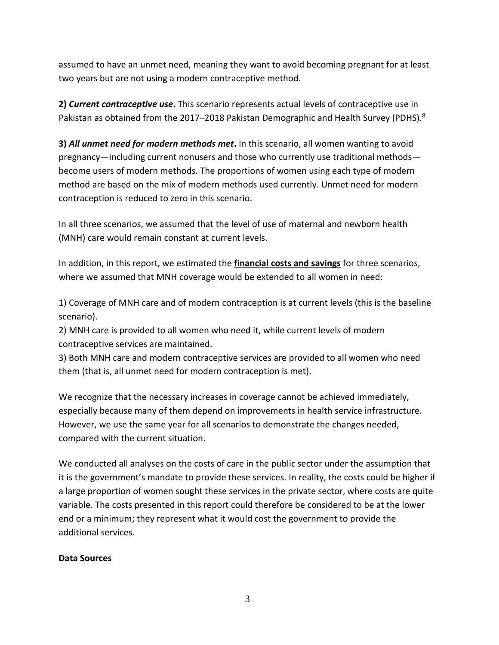assumed to have an unmet need, meaning they want to avoid becoming pregnant for at least two years but are not using a modern contraceptive method.

**2)** *Current contraceptive use***.** This scenario represents actual levels of contraceptive use in Pakistan as obtained from the 2017–2018 Pakistan Demographic and Health Survey (PDHS). $8$ 

**3)** *All unmet need for modern methods met***.** In this scenario, all women wanting to avoid pregnancy—including current nonusers and those who currently use traditional methods become users of modern methods. The proportions of women using each type of modern method are based on the mix of modern methods used currently. Unmet need for modern contraception is reduced to zero in this scenario.

In all three scenarios, we assumed that the level of use of maternal and newborn health (MNH) care would remain constant at current levels.

In addition, in this report, we estimated the **financial costs and savings** for three scenarios, where we assumed that MNH coverage would be extended to all women in need:

1) Coverage of MNH care and of modern contraception is at current levels (this is the baseline scenario).

2) MNH care is provided to all women who need it, while current levels of modern contraceptive services are maintained.

3) Both MNH care and modern contraceptive services are provided to all women who need them (that is, all unmet need for modern contraception is met).

We recognize that the necessary increases in coverage cannot be achieved immediately, especially because many of them depend on improvements in health service infrastructure. However, we use the same year for all scenarios to demonstrate the changes needed, compared with the current situation.

We conducted all analyses on the costs of care in the public sector under the assumption that it is the government's mandate to provide these services. In reality, the costs could be higher if a large proportion of women sought these services in the private sector, where costs are quite variable. The costs presented in this report could therefore be considered to be at the lower end or a minimum; they represent what it would cost the government to provide the additional services.

### **Data Sources**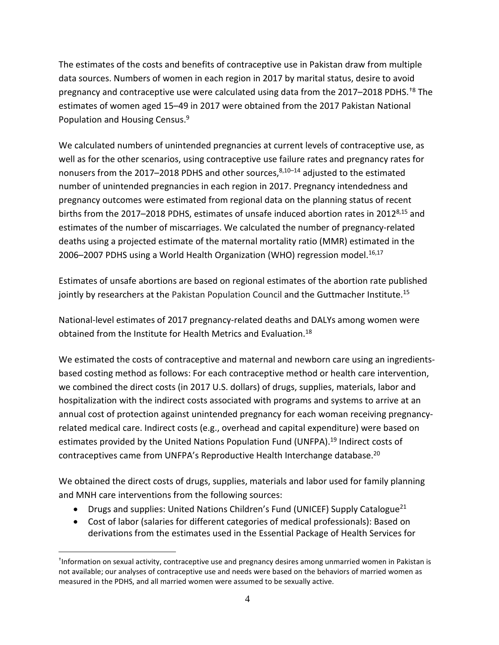The estimates of the costs and benefits of contraceptive use in Pakistan draw from multiple data sources. Numbers of women in each region in 2017 by marital status, desire to avoid pregnancy and contraceptive use were calculated using data from the 2017–2018 PDHS.<sup>[†](#page-3-0)8</sup> The estimates of women aged 15–49 in 2017 were obtained from the 2017 Pakistan National Population and Housing Census.<sup>9</sup>

We calculated numbers of unintended pregnancies at current levels of contraceptive use, as well as for the other scenarios, using contraceptive use failure rates and pregnancy rates for nonusers from the 2017–2018 PDHS and other sources, $8,10-14$  adjusted to the estimated number of unintended pregnancies in each region in 2017. Pregnancy intendedness and pregnancy outcomes were estimated from regional data on the planning status of recent births from the 2017–2018 PDHS, estimates of unsafe induced abortion rates in 2012<sup>8,15</sup> and estimates of the number of miscarriages. We calculated the number of pregnancy-related deaths using a projected estimate of the maternal mortality ratio (MMR) estimated in the 2006-2007 PDHS using a World Health Organization (WHO) regression model.<sup>16,17</sup>

Estimates of unsafe abortions are based on regional estimates of the abortion rate published jointly by researchers at the Pakistan Population Council and the Guttmacher Institute.<sup>15</sup>

National-level estimates of 2017 pregnancy-related deaths and DALYs among women were obtained from the Institute for Health Metrics and Evaluation.18

We estimated the costs of contraceptive and maternal and newborn care using an ingredientsbased costing method as follows: For each contraceptive method or health care intervention, we combined the direct costs (in 2017 U.S. dollars) of drugs, supplies, materials, labor and hospitalization with the indirect costs associated with programs and systems to arrive at an annual cost of protection against unintended pregnancy for each woman receiving pregnancyrelated medical care. Indirect costs (e.g., overhead and capital expenditure) were based on estimates provided by the United Nations Population Fund (UNFPA).<sup>19</sup> Indirect costs of contraceptives came from UNFPA's Reproductive Health Interchange database.<sup>20</sup>

We obtained the direct costs of drugs, supplies, materials and labor used for family planning and MNH care interventions from the following sources:

- Drugs and supplies: United Nations Children's Fund (UNICEF) Supply Catalogue<sup>21</sup>
- Cost of labor (salaries for different categories of medical professionals): Based on derivations from the estimates used in the Essential Package of Health Services for

<span id="page-3-0"></span> $\overline{a}$ † Information on sexual activity, contraceptive use and pregnancy desires among unmarried women in Pakistan is not available; our analyses of contraceptive use and needs were based on the behaviors of married women as measured in the PDHS, and all married women were assumed to be sexually active.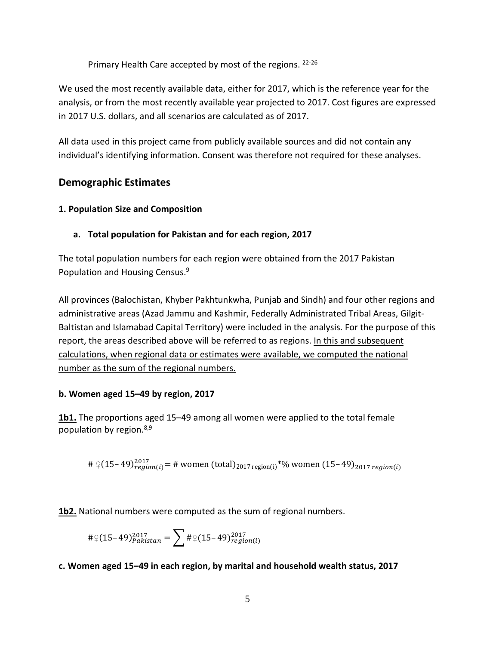Primary Health Care accepted by most of the regions. 22-26

We used the most recently available data, either for 2017, which is the reference year for the analysis, or from the most recently available year projected to 2017. Cost figures are expressed in 2017 U.S. dollars, and all scenarios are calculated as of 2017.

All data used in this project came from publicly available sources and did not contain any individual's identifying information. Consent was therefore not required for these analyses.

# **Demographic Estimates**

# **1. Population Size and Composition**

# **a. Total population for Pakistan and for each region, 2017**

The total population numbers for each region were obtained from the 2017 Pakistan Population and Housing Census.<sup>9</sup>

All provinces (Balochistan, Khyber Pakhtunkwha, Punjab and Sindh) and four other regions and administrative areas (Azad Jammu and Kashmir, Federally Administrated Tribal Areas, Gilgit-Baltistan and Islamabad Capital Territory) were included in the analysis. For the purpose of this report, the areas described above will be referred to as regions. In this and subsequent calculations, when regional data or estimates were available, we computed the national number as the sum of the regional numbers.

# **b. Women aged 15–49 by region, 2017**

**1b1.** The proportions aged 15–49 among all women were applied to the total female population by region.8,9

#  $9(15-49)_{region(i)}^{2017}$  = # women (total)<sub>2017 region(i)</sub>\*% women (15–49)<sub>2017 region(i)</sub>

**1b2.** National numbers were computed as the sum of regional numbers.

$$
\#\mathcal{Q}(15-49)_{Pakistan}^{2017}=\sum_{\#\mathcal{Q}(15-49)_{region(i)}}^{2017}
$$

# **c. Women aged 15–49 in each region, by marital and household wealth status, 2017**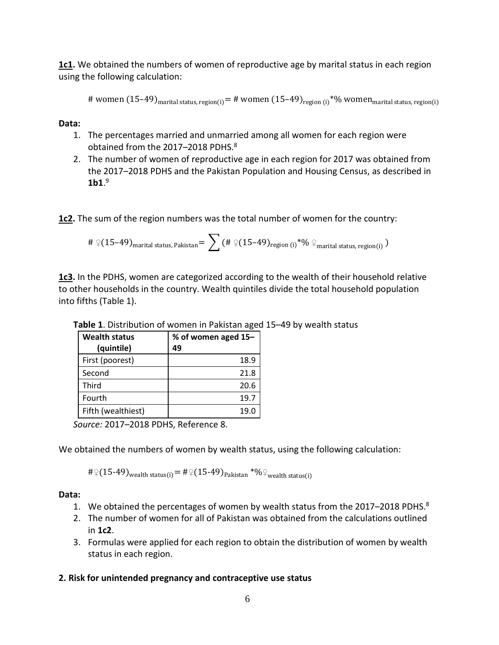**1c1.** We obtained the numbers of women of reproductive age by marital status in each region using the following calculation:

# women  $(15-49)$ <sub>marital status, region(i)</sub> = # women  $(15-49)$ <sub>region(i)</sub><sup>\*%</sup> women<sub>marital status, region(i)</sub>

**Data:**

- 1. The percentages married and unmarried among all women for each region were obtained from the 2017-2018 PDHS.<sup>8</sup>
- 2. The number of women of reproductive age in each region for 2017 was obtained from the 2017–2018 PDHS and the Pakistan Population and Housing Census, as described in **1b1**. 9

**1c2.** The sum of the region numbers was the total number of women for the country:

$$
\#\ \text{\textcircled{\tiny{15-49}}}_{\text{marital status, Pakistan}} = \sum \left(\#\ \text{\textcircled{\tiny{15-49}}}_{\text{region (i)}}\right.^*\!\!\textcircled{\tiny{10}} \ \text{\textcircled{\tiny{1}}}_{\text{marital status, region (i)}})
$$

**1c3.** In the PDHS, women are categorized according to the wealth of their household relative to other households in the country. Wealth quintiles divide the total household population into fifths (Table 1).

| <b>Wealth status</b><br>(quintile) | % of women aged 15-<br>49 |
|------------------------------------|---------------------------|
| First (poorest)                    | 18.9                      |
| Second                             | 21.8                      |
| Third                              | 20.6                      |
| Fourth                             | 19.7                      |
| Fifth (wealthiest)                 | 19.0                      |

**Table 1**. Distribution of women in Pakistan aged 15–49 by wealth status

*Source:* 2017–2018 PDHS, Reference 8.

We obtained the numbers of women by wealth status, using the following calculation:

# $\frac{1}{2}(15-49)$ <sub>wealth status(i)</sub> = # $\frac{1}{2}(15-49)$ <sub>Pakistan</sub> \*% $\frac{1}{2}$ <sub>wealth status(i)</sub>

### **Data:**

- 1. We obtained the percentages of women by wealth status from the 2017-2018 PDHS. $8$
- 2. The number of women for all of Pakistan was obtained from the calculations outlined in **1c2**.
- 3. Formulas were applied for each region to obtain the distribution of women by wealth status in each region.

# **2. Risk for unintended pregnancy and contraceptive use status**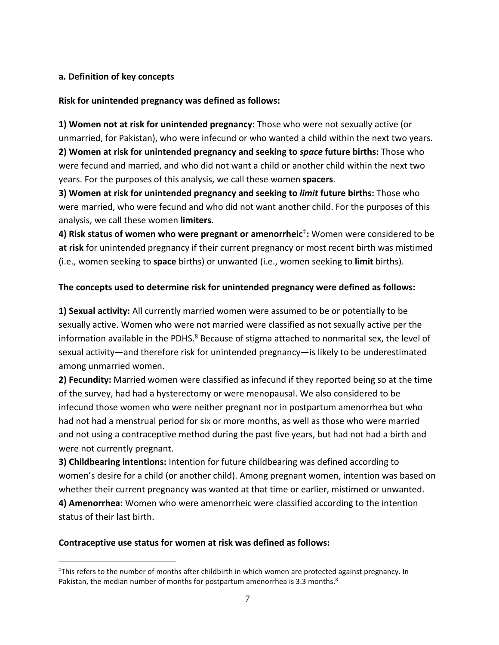# **a. Definition of key concepts**

**Risk for unintended pregnancy was defined as follows:** 

**1) Women not at risk for unintended pregnancy:** Those who were not sexually active (or unmarried, for Pakistan), who were infecund or who wanted a child within the next two years.

**2) Women at risk for unintended pregnancy and seeking to** *space* **future births:** Those who were fecund and married, and who did not want a child or another child within the next two years. For the purposes of this analysis, we call these women **spacers**.

**3) Women at risk for unintended pregnancy and seeking to** *limit* **future births:** Those who were married, who were fecund and who did not want another child. For the purposes of this analysis, we call these women **limiters**.

**4) Risk status of women who were pregnant or amenorrheic**[‡](#page-6-0) **:** Women were considered to be **at risk** for unintended pregnancy if their current pregnancy or most recent birth was mistimed (i.e., women seeking to **space** births) or unwanted (i.e., women seeking to **limit** births).

# **The concepts used to determine risk for unintended pregnancy were defined as follows:**

**1) Sexual activity:** All currently married women were assumed to be or potentially to be sexually active. Women who were not married were classified as not sexually active per the information available in the PDHS.<sup>8</sup> Because of stigma attached to nonmarital sex, the level of sexual activity—and therefore risk for unintended pregnancy—is likely to be underestimated among unmarried women.

**2) Fecundity:** Married women were classified as infecund if they reported being so at the time of the survey, had had a hysterectomy or were menopausal. We also considered to be infecund those women who were neither pregnant nor in postpartum amenorrhea but who had not had a menstrual period for six or more months, as well as those who were married and not using a contraceptive method during the past five years, but had not had a birth and were not currently pregnant.

**3) Childbearing intentions:** Intention for future childbearing was defined according to women's desire for a child (or another child). Among pregnant women, intention was based on whether their current pregnancy was wanted at that time or earlier, mistimed or unwanted. **4) Amenorrhea:** Women who were amenorrheic were classified according to the intention status of their last birth.

### **Contraceptive use status for women at risk was defined as follows:**

<span id="page-6-0"></span> <sup>‡</sup> This refers to the number of months after childbirth in which women are protected against pregnancy. In Pakistan, the median number of months for postpartum amenorrhea is 3.3 months.<sup>8</sup>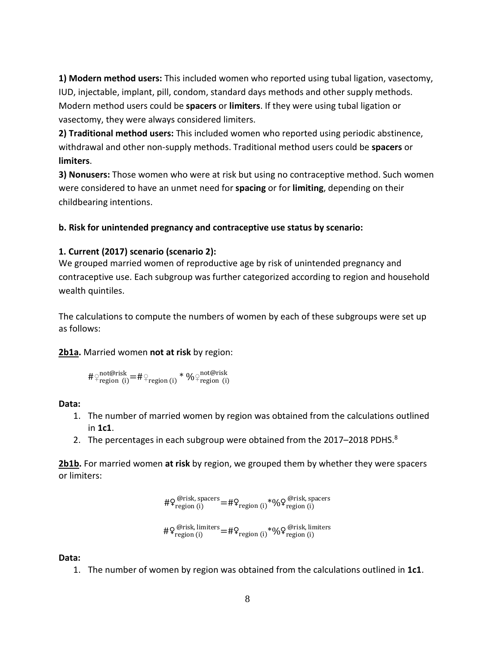**1) Modern method users:** This included women who reported using tubal ligation, vasectomy, IUD, injectable, implant, pill, condom, standard days methods and other supply methods. Modern method users could be **spacers** or **limiters**. If they were using tubal ligation or vasectomy, they were always considered limiters.

**2) Traditional method users:** This included women who reported using periodic abstinence, withdrawal and other non-supply methods. Traditional method users could be **spacers** or **limiters**.

**3) Nonusers:** Those women who were at risk but using no contraceptive method. Such women were considered to have an unmet need for **spacing** or for **limiting**, depending on their childbearing intentions.

# **b. Risk for unintended pregnancy and contraceptive use status by scenario:**

### **1. Current (2017) scenario (scenario 2):**

We grouped married women of reproductive age by risk of unintended pregnancy and contraceptive use. Each subgroup was further categorized according to region and household wealth quintiles.

The calculations to compute the numbers of women by each of these subgroups were set up as follows:

### **2b1a.** Married women **not at risk** by region:

$$
\# \mathop{\triangleright}_{\text{region (i)}}^{\text{not@risk}} = \# \mathop{\triangleright}_{\text{region (i)}}^{\text{not@risk}} \ast \mathop{\mathsf{y_o}^{\text{not@risk}}}
$$

### **Data:**

- 1. The number of married women by region was obtained from the calculations outlined in **1c1**.
- 2. The percentages in each subgroup were obtained from the 2017-2018 PDHS.<sup>8</sup>

**2b1b.** For married women **at risk** by region, we grouped them by whether they were spacers or limiters:

$$
\#\mathop{\mathsf{Q}}\nolimits^{\text{@risk, spaces}}_{\text{region (i)}}\!=\!\#\mathop{\mathsf{Q}}\nolimits^{\text{region (i)}}\!\!\ast\!\mathop{\mathsf{W}}\nolimits^{\text{@risk, spaces}}_{\text{region (i)}}
$$

$$
\#\mathop{\mathsf{Q}}\nolimits^{\text{@risk, limitsers}}_{\text{region (i)}}\!=\!\#\mathop{\mathsf{Q}}\nolimits^{\text{region (i)}}\!\!*\!\mathop{\mathsf{W}}\nolimits^{\text{@risk, limitsers}}_{\text{region (i)}}
$$

**Data:**

1. The number of women by region was obtained from the calculations outlined in **1c1**.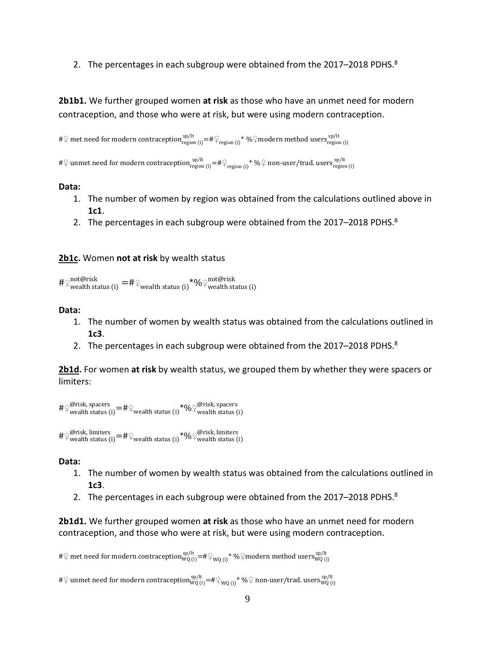2. The percentages in each subgroup were obtained from the  $2017-2018$  PDHS. $8$ 

**2b1b1.** We further grouped women **at risk** as those who have an unmet need for modern contraception, and those who were at risk, but were using modern contraception.

# $\phi$  met need for modern contraception $\frac{\text{sp/lt}}{\text{region (i)}}$  =# $\phi_{\text{region (i)}}$ \* % $\phi$ modern method users $\frac{\text{sp/lt}}{\text{region (i)}}$ 

 $\#\}$  unmet need for modern contraception  $_{\rm region\,(i)}^{\rm sp/lt}$  =  $\#\}$   $_{\rm region\,(i)}^{\rm sp/lt}$  non-user/trad. users  $_{\rm region\,(i)}^{\rm sp/lt}$ 

#### **Data:**

- 1. The number of women by region was obtained from the calculations outlined above in **1c1**.
- 2. The percentages in each subgroup were obtained from the  $2017-2018$  PDHS. $8$

#### **2b1c.** Women **not at risk** by wealth status

 $\#\mathfrak{Q}^{\text{not@risk}}_{\text{weakth status (i)}} = \#\mathfrak{Q}_{\text{wealth status (i)}} * \% \mathfrak{Q}_{\text{wealth status (i)}}$ 

#### **Data:**

- 1. The number of women by wealth status was obtained from the calculations outlined in **1c3**.
- 2. The percentages in each subgroup were obtained from the 2017-2018 PDHS.<sup>8</sup>

**2b1d.** For women **at risk** by wealth status, we grouped them by whether they were spacers or limiters:

 $\#\varphi^{\text{Qrisk, spaces}}_{\text{wealth status (i)}} = \#\varphi_{\text{wealth status (i)}} * \varphi_{\text{}^{\text{Q}}\varphi_{\text{weak}}\text{ status (i)}}$ 

 $\#\varphi_{\text{weak, limiters}}^{(\varphi\text{crisk, limiters})}=\#\varphi_{\text{wealth status (i)}}$  \*0/0 $\varphi_{\text{wealth status (i)}}^{(\varphi\text{crisk, limiters})}$ 

#### **Data:**

- 1. The number of women by wealth status was obtained from the calculations outlined in **1c3**.
- 2. The percentages in each subgroup were obtained from the 2017-2018 PDHS. $8$

**2b1d1.** We further grouped women **at risk** as those who have an unmet need for modern contraception, and those who were at risk, but were using modern contraception.

# $\phi$  met need for modern contraception  $_{\rm WQ\,(i)}^{\rm sp/lt}$  =# $\phi_{\rm WQ\,(i)}$ \* % $\phi$ modern method users $_{\rm WQ\,(i)}^{\rm sp/lt}$ 

 $\#\}$  unmet need for modern contraception $_{\mathsf{WQ}(i)}^{\mathsf{sp}/\mathsf{lt}} = \#\^{\mathbb{Q}}_{\mathsf{WQ}(i)} * \mathcal{H}^{\mathbb{Q}}$  non-user/trad. users $_{\mathsf{WQ}(i)}^{\mathsf{sp}/\mathsf{lt}}$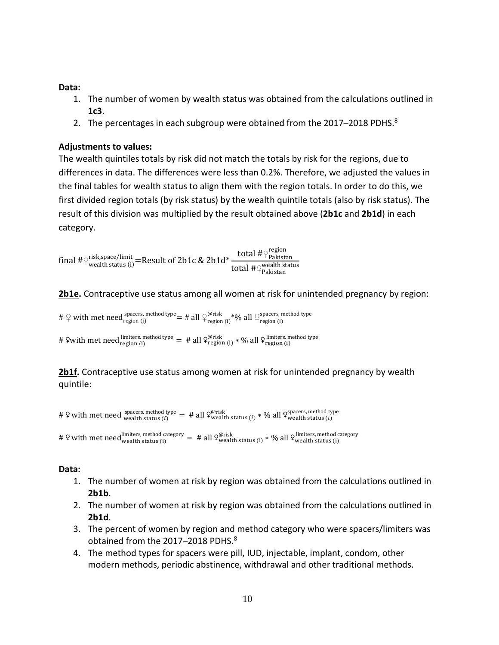### **Data:**

- 1. The number of women by wealth status was obtained from the calculations outlined in **1c3**.
- 2. The percentages in each subgroup were obtained from the 2017-2018 PDHS. $8$

### **Adjustments to values:**

The wealth quintiles totals by risk did not match the totals by risk for the regions, due to differences in data. The differences were less than 0.2%. Therefore, we adjusted the values in the final tables for wealth status to align them with the region totals. In order to do this, we first divided region totals (by risk status) by the wealth quintile totals (also by risk status). The result of this division was multiplied by the result obtained above (**2b1c** and **2b1d**) in each category.

 $\int_0^\infty t^{\rm g} \, dt \, dt = R \, {\rm g} \, {\rm g} \, {\rm h} \, {\rm h} \, {\rm h} \, {\rm h} \, {\rm h} \, {\rm h} \, {\rm h} \, {\rm h} \, {\rm h} \, {\rm h} \, {\rm h} \, {\rm h} \, {\rm h} \, {\rm h} \, {\rm h} \, {\rm h} \, {\rm h} \, {\rm h} \, {\rm h} \, {\rm h} \, {\rm h} \, {\rm h} \, {\rm h} \, {\rm h} \, {\rm h} \, {\rm h} \, {\rm h} \, {\rm h} \, {\rm h} \, {\rm h} \, {\rm h} \$ total #♀<sup>wealth status</sup>

**2b1e.** Contraceptive use status among all women at risk for unintended pregnancy by region:

#  $\varphi$  with met need spacers, method type = # all  $\varphi_{\text{region (i)}}^{\varphi_{\text{risk}}}$  \*% all  $\varphi_{\text{region (i)}}^{\text{spaces, method type}}$ 

# ?with met need  $\lim_{\text{region (i)}}^{\text{limits, method type}} = 4$  all  $\frac{\mathcal{Q}^{\text{(prisk)}}}{\mathcal{G}^{\text{(pisk)}}(\mathbf{i})}$  \* % all  $\frac{\mathcal{Q}^{\text{(limits, method type)}}}{\mathcal{G}^{\text{(norm)}}(\mathbf{i})}$ 

2b1f. Contraceptive use status among women at risk for unintended pregnancy by wealth quintile:

# 9 with met need  $\frac{\text{spaces, method type}}{\text{weak}+ \text{status}(i)} = \# \text{ all } 9\text{weak}+ \text{status}(i) * \% \text{ all } 9\text{weak}+ \text{status}(i)$ 

# 9 with met need imiters, method category = # all  $\varphi_{\text{weak}}^{\text{first}}$  status (i) \* % all  $\varphi_{\text{weak}}^{\text{limiters, method category}}$ 

- 1. The number of women at risk by region was obtained from the calculations outlined in **2b1b**.
- 2. The number of women at risk by region was obtained from the calculations outlined in **2b1d**.
- 3. The percent of women by region and method category who were spacers/limiters was obtained from the 2017-2018 PDHS.<sup>8</sup>
- 4. The method types for spacers were pill, IUD, injectable, implant, condom, other modern methods, periodic abstinence, withdrawal and other traditional methods.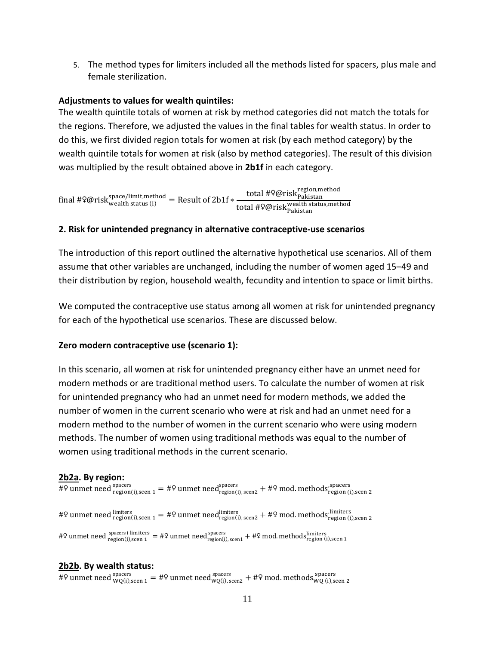5. The method types for limiters included all the methods listed for spacers, plus male and female sterilization.

### **Adjustments to values for wealth quintiles:**

The wealth quintile totals of women at risk by method categories did not match the totals for the regions. Therefore, we adjusted the values in the final tables for wealth status. In order to do this, we first divided region totals for women at risk (by each method category) by the wealth quintile totals for women at risk (also by method categories). The result of this division was multiplied by the result obtained above in **2b1f** in each category.

 $\text{final #} \mathfrak{Q} \text{risk}^\text{space/limit, method}_\text{wealth status (i)} = \text{Result of } 2 \text{b1f} * \frac{\text{total #} \mathfrak{Q} \text{risk}^\text{region,method}_\text{Plkistan}}{\text{total #} \mathfrak{Q} \text{risk}^\text{weak}^\text{total,total}}$ total #♀@risk<sup>wealth status,method</sup>

#### **2. Risk for unintended pregnancy in alternative contraceptive-use scenarios**

The introduction of this report outlined the alternative hypothetical use scenarios. All of them assume that other variables are unchanged, including the number of women aged 15–49 and their distribution by region, household wealth, fecundity and intention to space or limit births.

We computed the contraceptive use status among all women at risk for unintended pregnancy for each of the hypothetical use scenarios. These are discussed below.

#### **Zero modern contraceptive use (scenario 1):**

In this scenario, all women at risk for unintended pregnancy either have an unmet need for modern methods or are traditional method users. To calculate the number of women at risk for unintended pregnancy who had an unmet need for modern methods, we added the number of women in the current scenario who were at risk and had an unmet need for a modern method to the number of women in the current scenario who were using modern methods. The number of women using traditional methods was equal to the number of women using traditional methods in the current scenario.

### **2b2a. By region:**

#º unmet need  $_{\text{region}(i), \text{seen 1}}^{ \text{spacers}} =$  #º unmet need $_{\text{region}(i), \text{seen 2}}^{ \text{spacers}} +$  #º mod. methods $_{\text{region}(i), \text{seen 2}}^{ \text{spacers}}$ #\ unmet need  $\frac{\text{limits}}{\text{region(i),seen 1}}$  = #\ unmet need $\frac{\text{limits}}{\text{region(i),seen 2}}$  + #\ mod. methods $\frac{\text{limits}}{\text{region(i),seen 2}}$ #? unmet need  $\frac{\text{spacers}+\text{limits}}{\text{region(i)}, \text{seen 1}} = #$ ? unmet need $\frac{\text{spacers}}{\text{region(i)}, \text{seen 1}} + #$ ? mod. methods $\frac{\text{limits}}{\text{region(i)}, \text{seen 1}}$ 

#### **2b2b. By wealth status:**

#º unmet need  ${}_{WQ(i),scen\ 1}^{spacers}$  = #º unmet need ${}_{WQ(i),scen2}^{spacers}$  + #º mod. methods ${}_{WQ(i),scen\ 2}^{spacers}$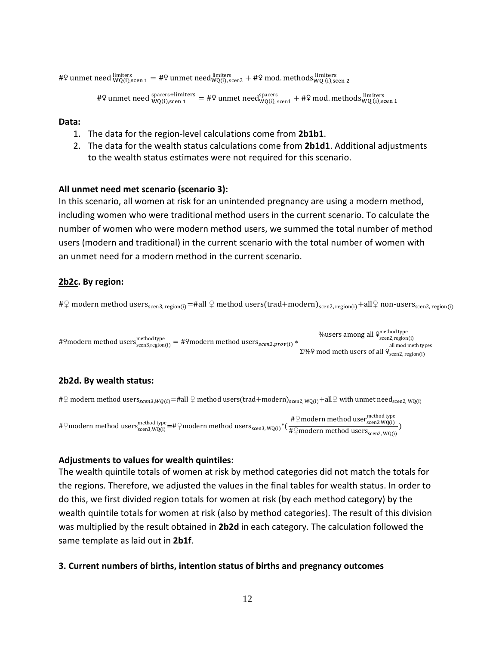#? unmet need  $\frac{\text{limits}}{WQ(i), \text{seen 1}} = #$ ? unmet need $\frac{\text{limits}}{WQ(i), \text{seen 2}} + #$ ? mod. methods $\frac{\text{limits}}{WQ(i), \text{seen 2}}$ 

```
#º unmet need \frac{\text{spacers+limiters}}{\text{WQ(i),seen 1}} = \# unmet need\frac{\text{spacers}}{\text{WQ(i),seen 1}} + \# mod. methods\frac{\text{limiters}}{\text{WQ(i),seen 1}}
```
#### **Data:**

- 1. The data for the region-level calculations come from **2b1b1**.
- 2. The data for the wealth status calculations come from **2b1d1**. Additional adjustments to the wealth status estimates were not required for this scenario.

#### **All unmet need met scenario (scenario 3):**

In this scenario, all women at risk for an unintended pregnancy are using a modern method, including women who were traditional method users in the current scenario. To calculate the number of women who were modern method users, we summed the total number of method users (modern and traditional) in the current scenario with the total number of women with an unmet need for a modern method in the current scenario.

### **2b2c. By region:**

# $\varphi$  modern method users<sub>scen3. region(i)</sub>=#all  $\varphi$  method users(trad+modern)<sub>scen2, region(i)</sub>+all $\varphi$  non-users<sub>scen2, region(i)</sub>

 $\text{#Qmodern method uses} \ \text{method version}(\text{in}) = \text{#Qmodern method uses} \ \text{method users}_{\text{scen3},\text{prov}(\text{in})} \ \text{*} \ \text{``Sens} \ \text{``Sens} \ \text{``Sens} \ \text{``Sens} \ \text{``Sens} \ \text{``Sens} \ \text{``Sens} \ \text{``Sens} \ \text{``Sens} \ \text{``Sens} \ \text{``Sens} \ \text{``Sens} \ \text{``Sens} \ \text{``Sens} \ \text{``Sens} \ \text{``Sens} \ \text{``Sens} \ \text{``Sens} \ \text{``Sens$ %users among all  $9^{method \text{type}}_{\text{seen2,region}(i)}$ Σ%? mod meth users of all  $9$ <sub>scen2, region(i)</sub> all mod meth types

### **2b2d. By wealth status:**

 $\#\}$  modern method users $_{scen3, WQ(i)}=$ #all  $\varphi$  method users(trad+modern) $_{scen2, WQ(i)}$ +all $\varphi$  with unmet need $_{scen2, WQ(i)}$ 

 $#\mathfrak{S}$ modern method users $\mathfrak{F}_{\textrm{seen3,WQ(i)}}^{\textrm{method type}}$  =# $\mathfrak{S}_{\textrm{model}}$ method users $\mathfrak{F}_{\textrm{seen3,WQ(i)}}^{\textrm{method type}}$  , we $\mathfrak{g}_{\textrm{even}}^{\textrm{method type}}$  , we $\mathfrak{g}_{\textrm{even}}^{\textrm{method type}}$  , we $\mathfrak{g}_{\textrm{even}}^{\textrm{method}}$  , we see the # $\sqrt[2]{}$ modern method users $_{\textrm{seen2, WQ(i)}}$ )

### **Adjustments to values for wealth quintiles:**

The wealth quintile totals of women at risk by method categories did not match the totals for the regions. Therefore, we adjusted the values in the final tables for wealth status. In order to do this, we first divided region totals for women at risk (by each method category) by the wealth quintile totals for women at risk (also by method categories). The result of this division was multiplied by the result obtained in **2b2d** in each category. The calculation followed the same template as laid out in **2b1f**.

#### **3. Current numbers of births, intention status of births and pregnancy outcomes**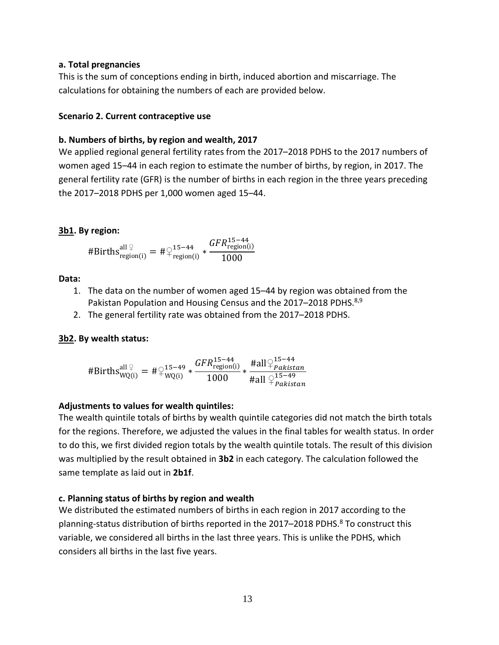#### **a. Total pregnancies**

This is the sum of conceptions ending in birth, induced abortion and miscarriage. The calculations for obtaining the numbers of each are provided below.

### **Scenario 2. Current contraceptive use**

### **b. Numbers of births, by region and wealth, 2017**

We applied regional general fertility rates from the 2017–2018 PDHS to the 2017 numbers of women aged 15–44 in each region to estimate the number of births, by region, in 2017. The general fertility rate (GFR) is the number of births in each region in the three years preceding the 2017–2018 PDHS per 1,000 women aged 15–44.

# **3b1. By region:**

$$
\text{\#Births}_{\text{region}(i)}^{\text{all } \varphi} = \text{\#} \varphi_{\text{region}(i)}^{15-44} * \frac{\text{GFR}_{\text{region}(i)}^{15-44}}{1000}
$$

#### **Data:**

- 1. The data on the number of women aged 15–44 by region was obtained from the Pakistan Population and Housing Census and the 2017–2018 PDHS.<sup>8,9</sup>
- 2. The general fertility rate was obtained from the 2017–2018 PDHS.

### **3b2. By wealth status:**

$$
\# \text{Births}_{\text{WQ}(i)}^{\text{all } \varphi} = \# \varphi_{\text{WQ}(i)}^{15-49} * \frac{GFR_{\text{region}(i)}^{15-44}}{1000} * \frac{\# \text{all } \varphi_{\text{Pakistan}}^{15-44}}{\# \text{all } \varphi_{\text{Pakistan}}^{15-49}}
$$

### **Adjustments to values for wealth quintiles:**

The wealth quintile totals of births by wealth quintile categories did not match the birth totals for the regions. Therefore, we adjusted the values in the final tables for wealth status. In order to do this, we first divided region totals by the wealth quintile totals. The result of this division was multiplied by the result obtained in **3b2** in each category. The calculation followed the same template as laid out in **2b1f**.

### **c. Planning status of births by region and wealth**

We distributed the estimated numbers of births in each region in 2017 according to the planning-status distribution of births reported in the 2017-2018 PDHS.<sup>8</sup> To construct this variable, we considered all births in the last three years. This is unlike the PDHS, which considers all births in the last five years.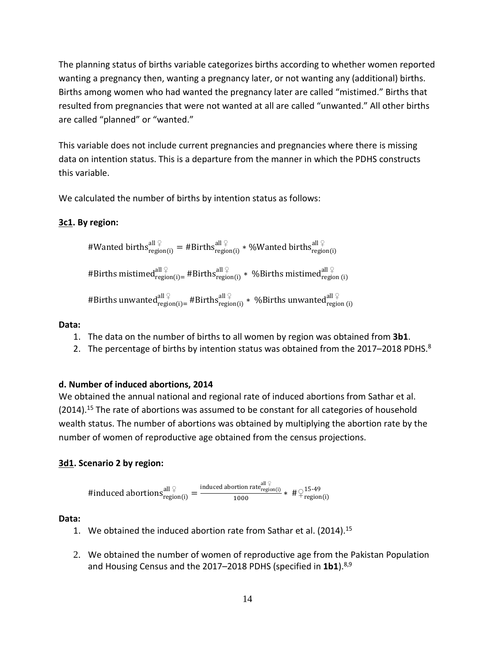The planning status of births variable categorizes births according to whether women reported wanting a pregnancy then, wanting a pregnancy later, or not wanting any (additional) births. Births among women who had wanted the pregnancy later are called "mistimed." Births that resulted from pregnancies that were not wanted at all are called "unwanted." All other births are called "planned" or "wanted."

This variable does not include current pregnancies and pregnancies where there is missing data on intention status. This is a departure from the manner in which the PDHS constructs this variable.

We calculated the number of births by intention status as follows:

# **3c1. By region:**

#Wanted births 
$$
\text{argion}(i)
$$
 = #Births  $\text{argion}(i)$  \* %Wanted births  $\text{argion}(i)$ 

\n#Births mistimed  $\text{argion}(i)$  = #Births  $\text{argion}(i)$  \* %Births mistimed  $\text{argion}(i)$ 

\n#Births unwanted  $\text{argion}(i)$  = #Births  $\text{argion}(i)$  \* %Births unwanted  $\text{argion}(i)$ 

# **Data:**

- 1. The data on the number of births to all women by region was obtained from **3b1**.
- 2. The percentage of births by intention status was obtained from the 2017–2018 PDHS. $^8$

# **d. Number of induced abortions, 2014**

We obtained the annual national and regional rate of induced abortions from Sathar et al. (2014).<sup>15</sup> The rate of abortions was assumed to be constant for all categories of household wealth status. The number of abortions was obtained by multiplying the abortion rate by the number of women of reproductive age obtained from the census projections.

# **3d1. Scenario 2 by region:**

 $\#induced\ abortions_{region(i)}^{all\; \mathcal{Q}} = \frac{\text{induced\ abortion\ rate}_{region(i)}^{all\; \mathcal{Q}}}{1000}$  $\frac{1000 \text{ rad} \cdot \text{region}(i)}{1000} * # \frac{15-49}{\text{region}(i)}$ 

- 1. We obtained the induced abortion rate from Sathar et al. (2014).15
- 2. We obtained the number of women of reproductive age from the Pakistan Population and Housing Census and the 2017–2018 PDHS (specified in 1b1).<sup>8,9</sup>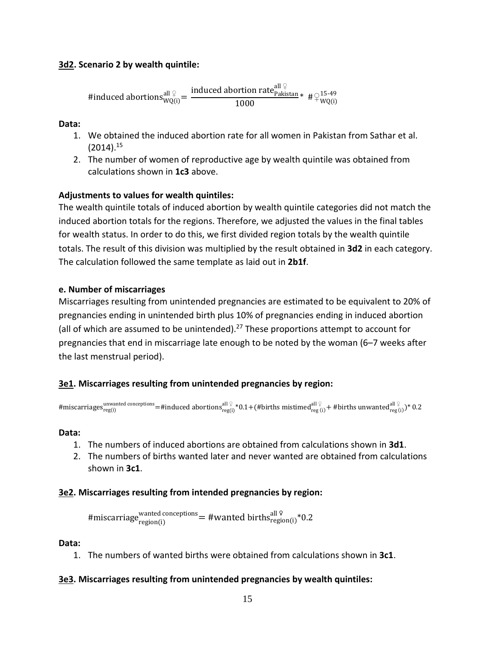### **3d2. Scenario 2 by wealth quintile:**

 $\text{\#induced~abortions}^{\text{all }\text{\c} }_{\text{WQ(i)}} = \frac{\text{\rm induced~abortion rate}^{\text{all }\text{\c} }}{1000}$  $\frac{1000}{1000}$   $\# \varphi^{15-49}$   $\psi^{15-49}$ 

**Data:**

- 1. We obtained the induced abortion rate for all women in Pakistan from Sathar et al.  $(2014).^{15}$
- 2. The number of women of reproductive age by wealth quintile was obtained from calculations shown in **1c3** above.

# **Adjustments to values for wealth quintiles:**

The wealth quintile totals of induced abortion by wealth quintile categories did not match the induced abortion totals for the regions. Therefore, we adjusted the values in the final tables for wealth status. In order to do this, we first divided region totals by the wealth quintile totals. The result of this division was multiplied by the result obtained in **3d2** in each category. The calculation followed the same template as laid out in **2b1f**.

# **e. Number of miscarriages**

Miscarriages resulting from unintended pregnancies are estimated to be equivalent to 20% of pregnancies ending in unintended birth plus 10% of pregnancies ending in induced abortion (all of which are assumed to be unintended).<sup>27</sup> These proportions attempt to account for pregnancies that end in miscarriage late enough to be noted by the woman (6–7 weeks after the last menstrual period).

# **3e1. Miscarriages resulting from unintended pregnancies by region:**

 $\#$ miscarriages $_{\rm reg(i)}^{\rm unwanted\,conceptions}=$ #induced abortions $_{\rm reg(i)}^{\rm all\,}$  \*0.1+(#births mistimed $_{\rm reg(i)}^{\rm all\,}$  + #births unwanted $_{\rm reg(i)}^{\rm all\,}$  )\* 0.2

#### **Data:**

- 1. The numbers of induced abortions are obtained from calculations shown in **3d1**.
- 2. The numbers of births wanted later and never wanted are obtained from calculations shown in **3c1**.

### **3e2. Miscarriages resulting from intended pregnancies by region:**

#miscarriage $\frac{\text{wanted concentrations}}{\text{region(i)}} = \text{\#wanted births}^{\text{all }\n}\% \cdot 0.2$ 

#### **Data:**

1. The numbers of wanted births were obtained from calculations shown in **3c1**.

### **3e3. Miscarriages resulting from unintended pregnancies by wealth quintiles:**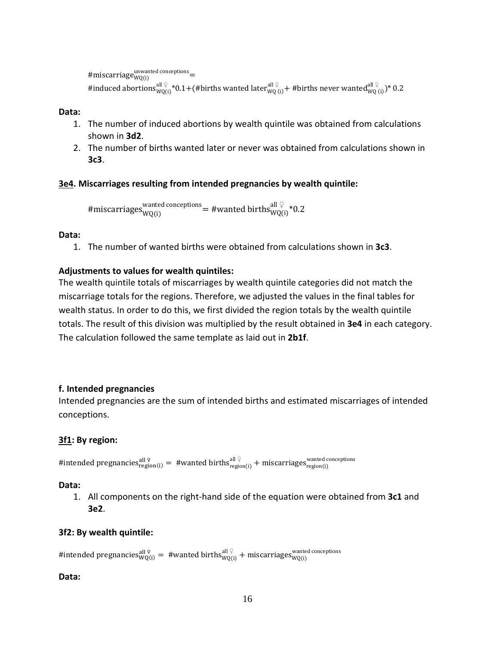```
#miscarriage_{\rm WQ(i)}^{\rm unwanted\ connections} =
#induced abortions{}_{\text{WQ(i)}}^{\text{all }\frac{\mathbb{Q}}{2}}*0.1+(\text{\#births wanted}{}_{\text{WQ (i)}}^{\text{all }\frac{\mathbb{Q}}{2}})+ #births never wanted{}_{\text{WQ (i)}}^{\text{all }\frac{\mathbb{Q}}{2}})* 0.2
```
#### **Data:**

- 1. The number of induced abortions by wealth quintile was obtained from calculations shown in **3d2**.
- 2. The number of births wanted later or never was obtained from calculations shown in **3c3**.

#### **3e4. Miscarriages resulting from intended pregnancies by wealth quintile:**

#miscarriages $_{\rm WQ(i)}^{\rm wanted\,correptions}$  = #wanted births $_{\rm WQ(i)}^{\rm all\, \, \circ}$ \*0.2

#### **Data:**

1. The number of wanted births were obtained from calculations shown in **3c3**.

### **Adjustments to values for wealth quintiles:**

The wealth quintile totals of miscarriages by wealth quintile categories did not match the miscarriage totals for the regions. Therefore, we adjusted the values in the final tables for wealth status. In order to do this, we first divided the region totals by the wealth quintile totals. The result of this division was multiplied by the result obtained in **3e4** in each category. The calculation followed the same template as laid out in **2b1f**.

#### **f. Intended pregnancies**

Intended pregnancies are the sum of intended births and estimated miscarriages of intended conceptions.

#### **3f1: By region:**

#intended pregnancies $_{\rm region(i)}^{\rm all\, \circ}$  = #wanted births $_{\rm region(i)}^{\rm all\, \circ}$  + miscarriages $_{\rm region(i)}^{\rm wanted\, concepts}$ 

#### **Data:**

1. All components on the right-hand side of the equation were obtained from **3c1** and **3e2**.

#### **3f2: By wealth quintile:**

#intended pregnancies $_{\text{WQ(i)}}^{\text{all }\mathfrak{L}}=$  #wanted births $_{\text{WQ(i)}}^{\text{all }\mathfrak{L}}+$  miscarriages $_{\text{WQ(i)}}^{\text{wanted concepts}}$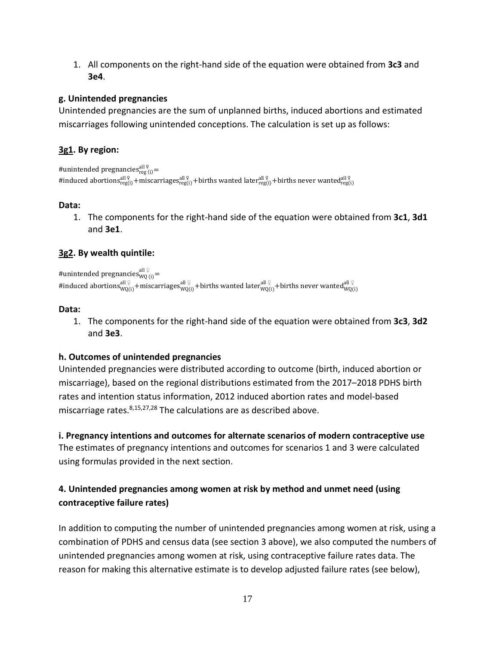1. All components on the right-hand side of the equation were obtained from **3c3** and **3e4**.

# **g. Unintended pregnancies**

Unintended pregnancies are the sum of unplanned births, induced abortions and estimated miscarriages following unintended conceptions. The calculation is set up as follows:

# **3g1. By region:**

```
#unintended pregnancies_{\text{reg (i)}}^{\text{all 9}}=
#induced abortions_{\rm reg(i)}^{\rm all\, \cal Q} +miscarriages_{\rm reg(i)}^{\rm all\, \cal Q} +births wanted later_{\rm reg(i)}^{\rm all\, \cal Q} +births never wanted_{\rm reg(i)}^{\rm all\, \cal Q}
```
# **Data:**

1. The components for the right-hand side of the equation were obtained from **3c1**, **3d1** and **3e1**.

# **3g2. By wealth quintile:**

#unintended pregnancies $_{\mathtt{WQ}\,(\mathrm{i})}^{\mathrm{all}\,\mathfrak{L}}$ #induced abortions ${}_{\rm WQ(i)}^{\rm all~\varphi}$ +miscarriages ${}_{\rm WQ(i)}^{\rm all~\varphi}$ +births wanted later ${}_{\rm WQ(i)}^{\rm all~\varphi}$ +births never wanted ${}_{\rm WQ(i)}^{\rm all~\varphi}$ 

# **Data:**

1. The components for the right-hand side of the equation were obtained from **3c3**, **3d2** and **3e3**.

# **h. Outcomes of unintended pregnancies**

Unintended pregnancies were distributed according to outcome (birth, induced abortion or miscarriage), based on the regional distributions estimated from the 2017–2018 PDHS birth rates and intention status information, 2012 induced abortion rates and model-based miscarriage rates.<sup>8,15,27,28</sup> The calculations are as described above.

**i. Pregnancy intentions and outcomes for alternate scenarios of modern contraceptive use** The estimates of pregnancy intentions and outcomes for scenarios 1 and 3 were calculated using formulas provided in the next section.

# **4. Unintended pregnancies among women at risk by method and unmet need (using contraceptive failure rates)**

In addition to computing the number of unintended pregnancies among women at risk, using a combination of PDHS and census data (see section 3 above), we also computed the numbers of unintended pregnancies among women at risk, using contraceptive failure rates data. The reason for making this alternative estimate is to develop adjusted failure rates (see below),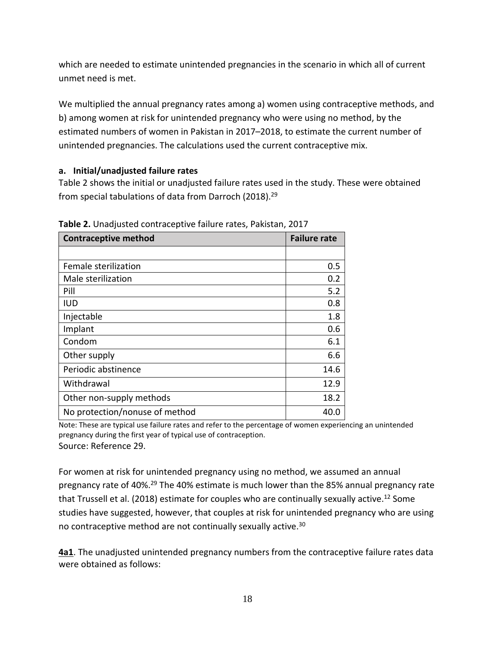which are needed to estimate unintended pregnancies in the scenario in which all of current unmet need is met.

We multiplied the annual pregnancy rates among a) women using contraceptive methods, and b) among women at risk for unintended pregnancy who were using no method, by the estimated numbers of women in Pakistan in 2017–2018, to estimate the current number of unintended pregnancies. The calculations used the current contraceptive mix.

# **a. Initial/unadjusted failure rates**

Table 2 shows the initial or unadjusted failure rates used in the study. These were obtained from special tabulations of data from Darroch (2018).<sup>29</sup>

| <b>Contraceptive method</b>    | <b>Failure rate</b> |
|--------------------------------|---------------------|
|                                |                     |
| Female sterilization           | 0.5                 |
| Male sterilization             | 0.2                 |
| Pill                           | 5.2                 |
| <b>IUD</b>                     | 0.8                 |
| Injectable                     | 1.8                 |
| Implant                        | 0.6                 |
| Condom                         | 6.1                 |
| Other supply                   | 6.6                 |
| Periodic abstinence            | 14.6                |
| Withdrawal                     | 12.9                |
| Other non-supply methods       | 18.2                |
| No protection/nonuse of method | 40.0                |

**Table 2.** Unadjusted contraceptive failure rates, Pakistan, 2017

Note: These are typical use failure rates and refer to the percentage of women experiencing an unintended pregnancy during the first year of typical use of contraception. Source: Reference 29.

For women at risk for unintended pregnancy using no method, we assumed an annual pregnancy rate of 40%.<sup>29</sup> The 40% estimate is much lower than the 85% annual pregnancy rate that Trussell et al. (2018) estimate for couples who are continually sexually active.<sup>12</sup> Some studies have suggested, however, that couples at risk for unintended pregnancy who are using no contraceptive method are not continually sexually active.30

**4a1**. The unadjusted unintended pregnancy numbers from the contraceptive failure rates data were obtained as follows: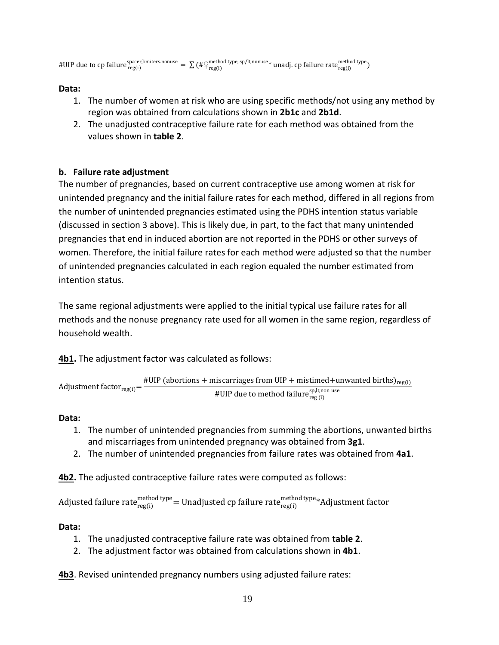#UIP due to cp failure  $_{\rm reg(i)}^{\rm space, limiters. nonuse}=\sum(\#\frac{\text{method type}}{\text{reg}(i)},p=0,1,1,0)$  andj. cp failure rate $_{\rm reg(i)}^{\rm method type}$ 

# **Data:**

- 1. The number of women at risk who are using specific methods/not using any method by region was obtained from calculations shown in **2b1c** and **2b1d**.
- 2. The unadjusted contraceptive failure rate for each method was obtained from the values shown in **table 2**.

# **b. Failure rate adjustment**

The number of pregnancies, based on current contraceptive use among women at risk for unintended pregnancy and the initial failure rates for each method, differed in all regions from the number of unintended pregnancies estimated using the PDHS intention status variable (discussed in section 3 above). This is likely due, in part, to the fact that many unintended pregnancies that end in induced abortion are not reported in the PDHS or other surveys of women. Therefore, the initial failure rates for each method were adjusted so that the number of unintended pregnancies calculated in each region equaled the number estimated from intention status.

The same regional adjustments were applied to the initial typical use failure rates for all methods and the nonuse pregnancy rate used for all women in the same region, regardless of household wealth.

**4b1.** The adjustment factor was calculated as follows:

Adjustment factor<sub>reg(i)</sub> = 
$$
\frac{\text{#UIP (abortions + miscarriages fromUIP + mistimed + unwanted births)}_{\text{reg}(i)}}{\text{#UIP due to method failure}_{\text{reg}(i)}^{\text{sp,lt,non use}}}
$$

# **Data:**

- 1. The number of unintended pregnancies from summing the abortions, unwanted births and miscarriages from unintended pregnancy was obtained from **3g1**.
- 2. The number of unintended pregnancies from failure rates was obtained from **4a1**.

**4b2.** The adjusted contraceptive failure rates were computed as follows:

Adjusted failure rate $_{\rm reg(i)}^{\rm method\, type}$   $=$  Unadjusted cp failure rate $_{\rm reg(i)}^{\rm method\, type}$ \*Adjustment factor

# **Data:**

- 1. The unadjusted contraceptive failure rate was obtained from **table 2**.
- 2. The adjustment factor was obtained from calculations shown in **4b1**.

**4b3**. Revised unintended pregnancy numbers using adjusted failure rates: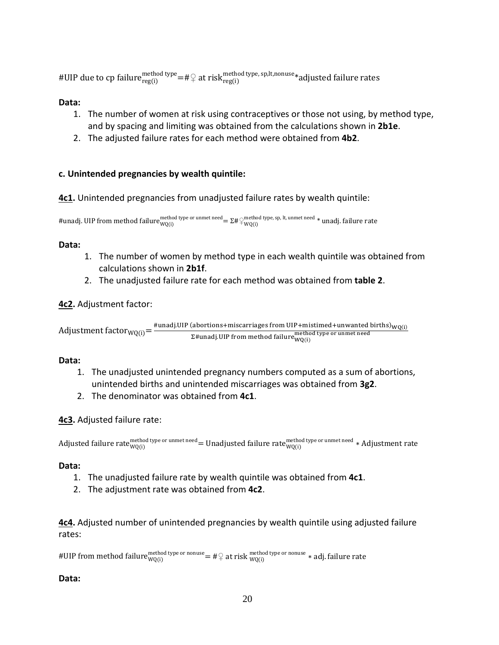#UIP due to cp failur $e^{method \, type}_{reg(i)}$  at risk $^{method \, type, \, sp, It, nonuse}$  adjusted failure rates

### **Data:**

- 1. The number of women at risk using contraceptives or those not using, by method type, and by spacing and limiting was obtained from the calculations shown in **2b1e**.
- 2. The adjusted failure rates for each method were obtained from **4b2**.

# **c. Unintended pregnancies by wealth quintile:**

**4c1.** Unintended pregnancies from unadjusted failure rates by wealth quintile:

#unadj. UIP from method failure ${}^{method \, type \, or \, unmet \, need} = \Sigma$ # $\varphi_{WQ(i)}^{method \, type, \, sp, \, lt, \, unmet \, need *}$ unadj. failure rate

# **Data:**

- 1. The number of women by method type in each wealth quintile was obtained from calculations shown in **2b1f**.
- 2. The unadjusted failure rate for each method was obtained from **table 2**.

# **4c2.** Adjustment factor:

 ${\rm Adjus}$ tment factor $_{\rm WQ(i)}$   $=$   $\frac{\rm \#unadj. UIP$  (abortions+miscarriages from UIP+mistimed+unwanted births) $_{\rm WQ(i)}$ <br> $\Sigma$ #unadj.UIP from method failure $_{\rm WQ(i)}^{\rm method\,type\,or\,unmet\,need}$ 

### **Data:**

- 1. The unadjusted unintended pregnancy numbers computed as a sum of abortions, unintended births and unintended miscarriages was obtained from **3g2**.
- 2. The denominator was obtained from **4c1**.

# **4c3.** Adjusted failure rate:

Adjusted failure rate $_{\rm WQ(i)}^{\rm method\,type\,or\,unmet\,need}$  = Unadjusted failure rate $_{\rm WQ(i)}^{\rm method\,type\,or\,unmet\,need}$   $*$  Adjustment rate

### **Data:**

- 1. The unadjusted failure rate by wealth quintile was obtained from **4c1**.
- 2. The adjustment rate was obtained from **4c2**.

**4c4.** Adjusted number of unintended pregnancies by wealth quintile using adjusted failure rates:

#UIP from method failure $_{\rm WQ(i)}^{\rm method\,type\,or\,nonuse}$   $=\# \c \us$  at risk  $_{\rm WQ(i)}^{\rm method\,type\,or\,nonuse}$   $*$  adj. failure rate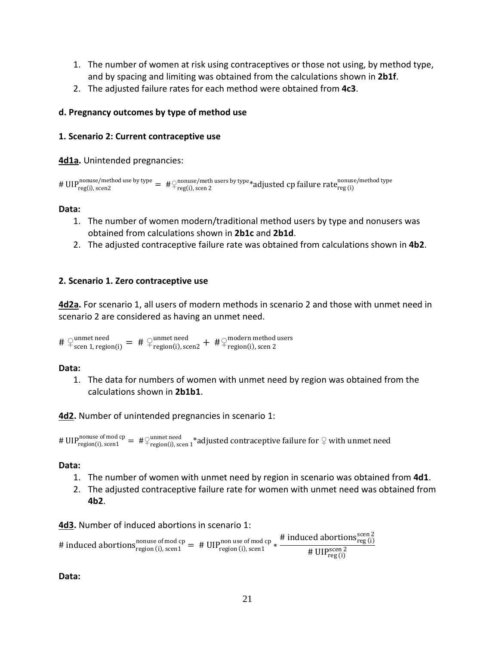- 1. The number of women at risk using contraceptives or those not using, by method type, and by spacing and limiting was obtained from the calculations shown in **2b1f**.
- 2. The adjusted failure rates for each method were obtained from **4c3**.

### **d. Pregnancy outcomes by type of method use**

### **1. Scenario 2: Current contraceptive use**

**4d1a.** Unintended pregnancies:

```
# UIP<sup>nonuse/method use by type</sup> = \#\varphi_{\text{reg}(i),\text{ seen 2}}^{\text{nonuse/meth users by type}} adjusted cp failure rate_{\text{reg}(i)}^{\text{nonuse/method type}}
```
#### **Data:**

- 1. The number of women modern/traditional method users by type and nonusers was obtained from calculations shown in **2b1c** and **2b1d**.
- 2. The adjusted contraceptive failure rate was obtained from calculations shown in **4b2**.

### **2. Scenario 1. Zero contraceptive use**

**4d2a.** For scenario 1, all users of modern methods in scenario 2 and those with unmet need in scenario 2 are considered as having an unmet need.

#  $\varphi$ <sup>unmet need</sup> = #  $\varphi$ <sup>unmet need</sup> + # $\varphi$ <sup>modern method users</sup><br>#  $\varphi$ <sub>region(i)</sub>, scen 2

#### **Data:**

1. The data for numbers of women with unmet need by region was obtained from the calculations shown in **2b1b1**.

**4d2.** Number of unintended pregnancies in scenario 1:

# UIP<sup>nonuse of mod cp</sup> =  $\# \bigcirc_{\text{region}(i),\text{seen 1}}^{\text{number need}}$  \*adjusted contraceptive failure for  $\bigcirc$  with unmet need

#### **Data:**

- 1. The number of women with unmet need by region in scenario was obtained from **4d1**.
- 2. The adjusted contraceptive failure rate for women with unmet need was obtained from **4b2**.

**4d3.** Number of induced abortions in scenario 1:

# induced abortions $\frac{\text{nonuse of mod cp}}{\text{region (i), seen1}} =$  #  $\text{UIP}_{\text{region (i), seen1}}^{\text{non use of mod cp}} * \frac{\text{\# induced abortions}_{\text{reg (i)}}^{\text{seen 2}}}{\text{\# IIIP}^{\text{seen 2}}}$ #  $UIP<sub>reg(i)</sub>$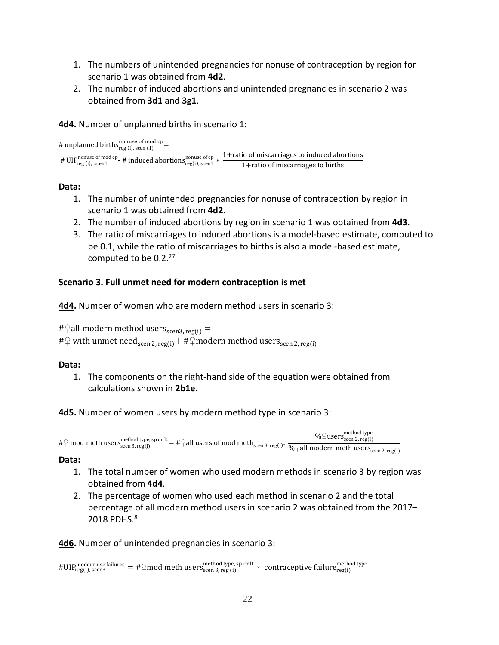- 1. The numbers of unintended pregnancies for nonuse of contraception by region for scenario 1 was obtained from **4d2**.
- 2. The number of induced abortions and unintended pregnancies in scenario 2 was obtained from **3d1** and **3g1**.

**4d4.** Number of unplanned births in scenario 1:

```
# unplanned births<sup>nonuse of mod cp</sup> =
# UIP<sup>nonuse of mod cp</sup>- # induced abortions<sup>nonuse of cp</sup> \frac{1 + \text{ratio of microarrages to induced abortions}}{1 + \text{ratio of microcarrages to births}}
```
# **Data:**

- 1. The number of unintended pregnancies for nonuse of contraception by region in scenario 1 was obtained from **4d2**.
- 2. The number of induced abortions by region in scenario 1 was obtained from **4d3**.
- 3. The ratio of miscarriages to induced abortions is a model-based estimate, computed to be 0.1, while the ratio of miscarriages to births is also a model-based estimate, computed to be  $0.2<sup>27</sup>$

# **Scenario 3. Full unmet need for modern contraception is met**

**4d4.** Number of women who are modern method users in scenario 3:

```
#\varphiall modern method users<sub>scen3, reg(i)</sub> =
# \varphi with unmet need<sub>scen 2, reg(i)</sub> + # \varphi modern method users<sub>scen 2, reg(i)</sub>
```
# **Data:**

1. The components on the right-hand side of the equation were obtained from calculations shown in **2b1e**.

**4d5.** Number of women users by modern method type in scenario 3:

```
#\varphi mod meth users\frac{\text{method type, sp or it.}}{\text{seen 3, reg(i)}} = \#\varphiall users of mod meth\frac{\text{seen 2, reg(i)}}{\sqrt{6} + \pi} \frac{\text{even 2, reg(i)}}{\sqrt{6} + \pi}%\frac{1}{2}users\frac{1}{2}scen 2, reg(i)
```
# **Data:**

- 1. The total number of women who used modern methods in scenario 3 by region was obtained from **4d4**.
- 2. The percentage of women who used each method in scenario 2 and the total percentage of all modern method users in scenario 2 was obtained from the 2017– 2018 PDHS. 8

**4d6.** Number of unintended pregnancies in scenario 3:

```
\#\mathrm{UIP}^\mathrm{modern \ use \ failure}_{\mathrm{reg}(i)\normalsize} = \#\}mod meth users\frac{\mathrm{method \ type}}{\mathrm{seen \ 3, reg \ (i)}} \ast contraceptive failure\frac{\mathrm{method \ type}}{\mathrm{reg}(i)}
```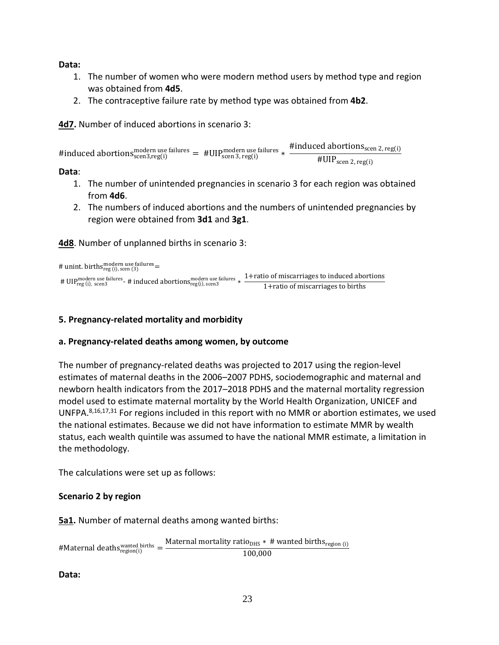**Data:**

- 1. The number of women who were modern method users by method type and region was obtained from **4d5**.
- 2. The contraceptive failure rate by method type was obtained from **4b2**.

**4d7.** Number of induced abortions in scenario 3:

#induced abortions modern use failures = #UIP modern use failures \*  $\frac{\text{Hinduced~abortions}_{\text{seen 2, reg(i)}}}{\text{HIIP}_{\text{seen 3, reg(i)}}}$ #UIPscen 2, reg(i)

**Data**:

- 1. The number of unintended pregnancies in scenario 3 for each region was obtained from **4d6**.
- 2. The numbers of induced abortions and the numbers of unintended pregnancies by region were obtained from **3d1** and **3g1**.

**4d8**. Number of unplanned births in scenario 3:

# unint. births $_{reg}^{modern}$  use failures  $=$ 

# UIPreg (i), scen3 modern use failures- # induced abortionsreg(i), scen3 modern use failures <sup>∗</sup> 1+ratio of miscarriages to induced abortions 1+ratio of miscarriages to births

### **5. Pregnancy-related mortality and morbidity**

### **a. Pregnancy-related deaths among women, by outcome**

The number of pregnancy-related deaths was projected to 2017 using the region-level estimates of maternal deaths in the 2006–2007 PDHS, sociodemographic and maternal and newborn health indicators from the 2017–2018 PDHS and the maternal mortality regression model used to estimate maternal mortality by the World Health Organization, UNICEF and UNFPA.8,16,17,31 For regions included in this report with no MMR or abortion estimates, we used the national estimates. Because we did not have information to estimate MMR by wealth status, each wealth quintile was assumed to have the national MMR estimate, a limitation in the methodology.

The calculations were set up as follows:

### **Scenario 2 by region**

**5a1.** Number of maternal deaths among wanted births:

#Maternal deaths<sup>wanted births</sup> =  $\frac{\text{Material mortality ratio}_{\text{DHS}} * \text{# wanted births}_{\text{region (i)}}}{100,000}$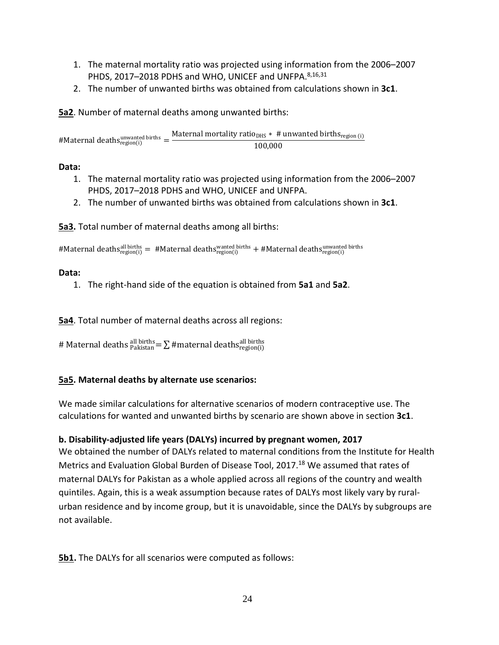- 1. The maternal mortality ratio was projected using information from the 2006–2007 PHDS, 2017-2018 PDHS and WHO, UNICEF and UNFPA.<sup>8,16,31</sup>
- 2. The number of unwanted births was obtained from calculations shown in **3c1**.

**5a2**. Number of maternal deaths among unwanted births:

#Maternal deaths<sup>unwanted births</sup> =  $\frac{\text{Material mortality ratio}_{\text{DIS}} * \#$  unwanted births<sub>region (i)</sub><br>100,000

# **Data:**

- 1. The maternal mortality ratio was projected using information from the 2006–2007 PHDS, 2017–2018 PDHS and WHO, UNICEF and UNFPA.
- 2. The number of unwanted births was obtained from calculations shown in **3c1**.

**5a3.** Total number of maternal deaths among all births:

#Maternal deaths<sup>all births</sup> = #Maternal deaths<sup>wanted births</sup> + #Maternal deaths<sup>unwanted births</sup>

# **Data:**

1. The right-hand side of the equation is obtained from **5a1** and **5a2**.

**5a4**. Total number of maternal deaths across all regions:

# Maternal deaths  $_{\text{Plaistan}}^{\text{all births}} = \sum \# \text{material}$  deaths $_{\text{region(i)}}^{\text{all births}}$ 

# **5a5. Maternal deaths by alternate use scenarios:**

We made similar calculations for alternative scenarios of modern contraceptive use. The calculations for wanted and unwanted births by scenario are shown above in section **3c1**.

# **b. Disability-adjusted life years (DALYs) incurred by pregnant women, 2017**

We obtained the number of DALYs related to maternal conditions from the Institute for Health Metrics and Evaluation Global Burden of Disease Tool, 2017.<sup>18</sup> We assumed that rates of maternal DALYs for Pakistan as a whole applied across all regions of the country and wealth quintiles. Again, this is a weak assumption because rates of DALYs most likely vary by ruralurban residence and by income group, but it is unavoidable, since the DALYs by subgroups are not available.

**5b1.** The DALYs for all scenarios were computed as follows: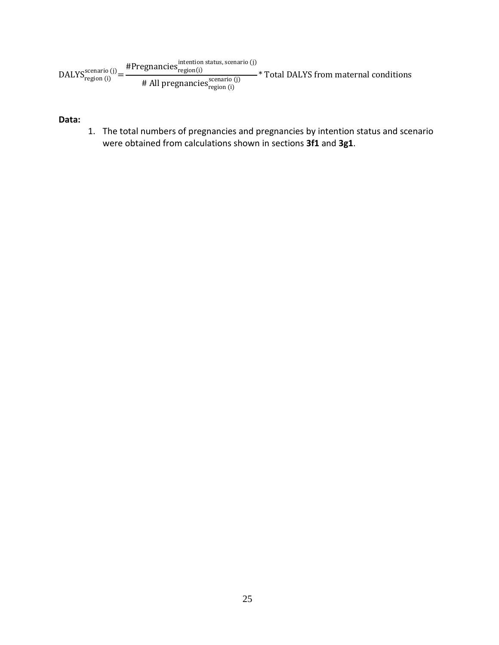$\text{DALYS}_{\text{region (i)}}^{\text{scenario (j)}}$ #Pregnancies<sup>intention</sup> status, scenario (j)  $\# \text{ All pregnancies}_{\text{region (i)}}^{\text{scenario (j)}}$ -\* Total DALYS from maternal conditions

**Data:** 

1. The total numbers of pregnancies and pregnancies by intention status and scenario were obtained from calculations shown in sections **3f1** and **3g1**.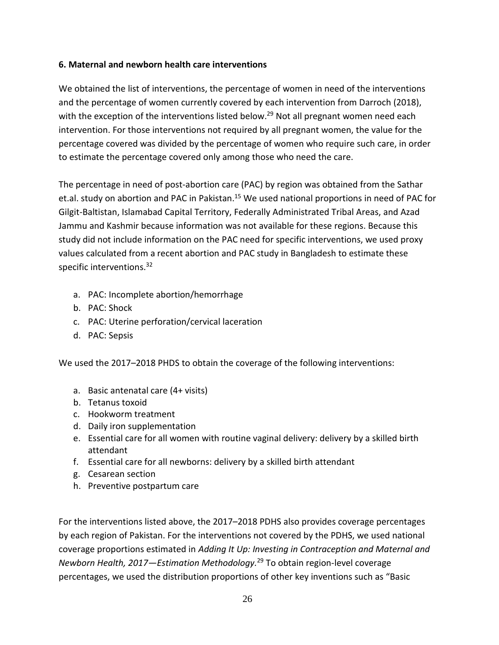# **6. Maternal and newborn health care interventions**

We obtained the list of interventions, the percentage of women in need of the interventions and the percentage of women currently covered by each intervention from Darroch (2018), with the exception of the interventions listed below.<sup>29</sup> Not all pregnant women need each intervention. For those interventions not required by all pregnant women, the value for the percentage covered was divided by the percentage of women who require such care, in order to estimate the percentage covered only among those who need the care.

The percentage in need of post-abortion care (PAC) by region was obtained from the Sathar et.al. study on abortion and PAC in Pakistan.<sup>15</sup> We used national proportions in need of PAC for Gilgit-Baltistan, Islamabad Capital Territory, Federally Administrated Tribal Areas, and Azad Jammu and Kashmir because information was not available for these regions. Because this study did not include information on the PAC need for specific interventions, we used proxy values calculated from a recent abortion and PAC study in Bangladesh to estimate these specific interventions.<sup>32</sup>

- a. PAC: Incomplete abortion/hemorrhage
- b. PAC: Shock
- c. PAC: Uterine perforation/cervical laceration
- d. PAC: Sepsis

We used the 2017–2018 PHDS to obtain the coverage of the following interventions:

- a. Basic antenatal care (4+ visits)
- b. Tetanus toxoid
- c. Hookworm treatment
- d. Daily iron supplementation
- e. Essential care for all women with routine vaginal delivery: delivery by a skilled birth attendant
- f. Essential care for all newborns: delivery by a skilled birth attendant
- g. Cesarean section
- h. Preventive postpartum care

For the interventions listed above, the 2017–2018 PDHS also provides coverage percentages by each region of Pakistan. For the interventions not covered by the PDHS, we used national coverage proportions estimated in *Adding It Up: Investing in Contraception and Maternal and Newborn Health, 2017—Estimation Methodology.* <sup>29</sup> To obtain region-level coverage percentages, we used the distribution proportions of other key inventions such as "Basic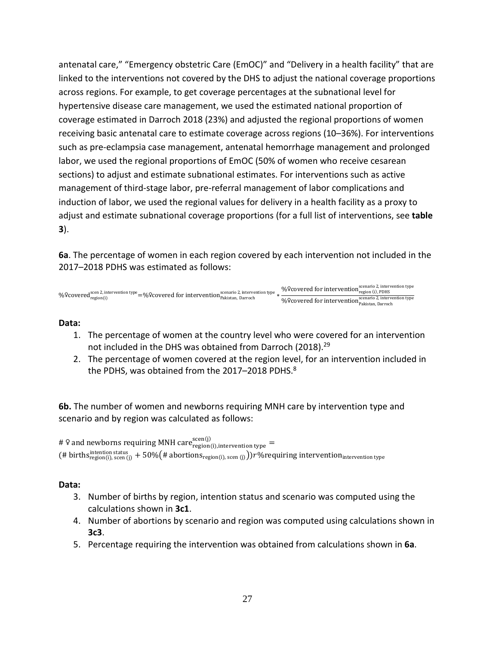antenatal care," "Emergency obstetric Care (EmOC)" and "Delivery in a health facility" that are linked to the interventions not covered by the DHS to adjust the national coverage proportions across regions. For example, to get coverage percentages at the subnational level for hypertensive disease care management, we used the estimated national proportion of coverage estimated in Darroch 2018 (23%) and adjusted the regional proportions of women receiving basic antenatal care to estimate coverage across regions (10–36%). For interventions such as pre-eclampsia case management, antenatal hemorrhage management and prolonged labor, we used the regional proportions of EmOC (50% of women who receive cesarean sections) to adjust and estimate subnational estimates. For interventions such as active management of third-stage labor, pre-referral management of labor complications and induction of labor, we used the regional values for delivery in a health facility as a proxy to adjust and estimate subnational coverage proportions (for a full list of interventions, see **table 3**).

**6a**. The percentage of women in each region covered by each intervention not included in the 2017–2018 PDHS was estimated as follows:

%&covered<sup>scen 2, intervention type</sup> =%&covered for intervention<sup>scenario 2,</sup> intervention type <sub>\*</sub> %&covered for intervention<sup>scenario</sup> 2, intervention type<br><sub>region</sub> (i), PDHS %&covered for intervention<sup>scenario 2, intervention type</sup><br>Pakistan, Darroch

### **Data:**

- 1. The percentage of women at the country level who were covered for an intervention not included in the DHS was obtained from Darroch (2018).<sup>29</sup>
- 2. The percentage of women covered at the region level, for an intervention included in the PDHS, was obtained from the 2017–2018 PDHS. $^8$

**6b.** The number of women and newborns requiring MNH care by intervention type and scenario and by region was calculated as follows:

# 9 and newborns requiring MNH care $_{\rm region(i),\rm intervention\, type}^{\rm scen(j)}$ (# births $^{\rm intention \, status}_{\rm region (i),\, seen\ (j)}+50\%$ (# abortions $_{\rm region (i),\, seen\ (j)}$ )) $r\%$ requiring intervention $_{\rm intervention\, type}$ 

- 3. Number of births by region, intention status and scenario was computed using the calculations shown in **3c1**.
- 4. Number of abortions by scenario and region was computed using calculations shown in **3c3**.
- 5. Percentage requiring the intervention was obtained from calculations shown in **6a**.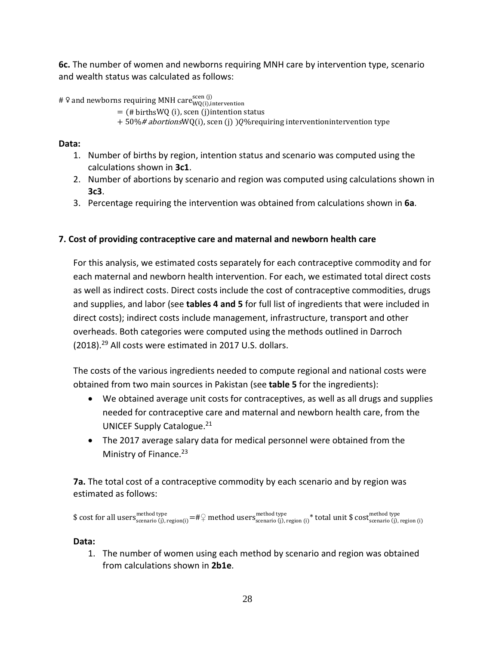**6c.** The number of women and newborns requiring MNH care by intervention type, scenario and wealth status was calculated as follows:

# ♀ and newborns requiring MNH care $_{\rm WQ(i),intervention}^{\rm scen\,(j)}$ 

```
= (# birthsWQ (i), scen (j)intention status
```
 $+50\%$ # abortionsWQ(i), scen (j) )Q%requiring interventionintervention type

# **Data:**

- 1. Number of births by region, intention status and scenario was computed using the calculations shown in **3c1**.
- 2. Number of abortions by scenario and region was computed using calculations shown in **3c3**.
- 3. Percentage requiring the intervention was obtained from calculations shown in **6a**.

# **7. Cost of providing contraceptive care and maternal and newborn health care**

For this analysis, we estimated costs separately for each contraceptive commodity and for each maternal and newborn health intervention. For each, we estimated total direct costs as well as indirect costs. Direct costs include the cost of contraceptive commodities, drugs and supplies, and labor (see **tables 4 and 5** for full list of ingredients that were included in direct costs); indirect costs include management, infrastructure, transport and other overheads. Both categories were computed using the methods outlined in Darroch (2018).29 All costs were estimated in 2017 U.S. dollars.

The costs of the various ingredients needed to compute regional and national costs were obtained from two main sources in Pakistan (see **table 5** for the ingredients):

- We obtained average unit costs for contraceptives, as well as all drugs and supplies needed for contraceptive care and maternal and newborn health care, from the UNICEF Supply Catalogue.<sup>21</sup>
- The 2017 average salary data for medical personnel were obtained from the Ministry of Finance. 23

**7a.** The total cost of a contraceptive commodity by each scenario and by region was estimated as follows:

 $\text{\$ cost for all users}^{\text{method type}}_{\text{scenario (j)},\text{region (i)}}=\#\frac{\mathbb{Q}}{\text{method uses}^{\text{method type}}_{\text{scenario (j)},\text{region (i)}}}$   $\text{\# total unit $\$ cost}^{\text{method type}}_{\text{scenario (j)},\text{region (i)}}$ 

# **Data:**

1. The number of women using each method by scenario and region was obtained from calculations shown in **2b1e**.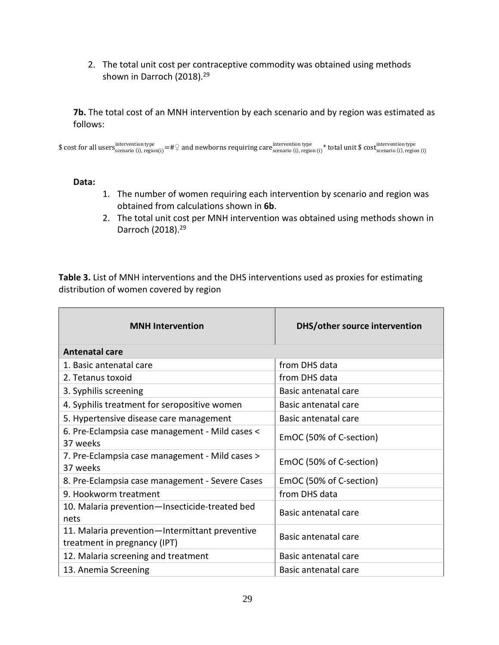2. The total unit cost per contraceptive commodity was obtained using methods shown in Darroch (2018).<sup>29</sup>

**7b.** The total cost of an MNH intervention by each scenario and by region was estimated as follows:

 $\$$  cost for all users $_{\rm scenario~(i),~region(i)}^{\rm intervention~type}=$  # $\heartsuit$  and newborns requiring care $_{\rm scenario~(i),~region(i)}^{\rm intervention~type}$  total unit  $\$$  cost $_{\rm scenario~(i),~region(i)}^{\rm intervention~type}$ 

#### **Data:**

- 1. The number of women requiring each intervention by scenario and region was obtained from calculations shown in **6b**.
- 2. The total unit cost per MNH intervention was obtained using methods shown in Darroch (2018).29

**Table 3.** List of MNH interventions and the DHS interventions used as proxies for estimating distribution of women covered by region

| <b>MNH</b> Intervention                                                        | DHS/other source intervention |
|--------------------------------------------------------------------------------|-------------------------------|
| <b>Antenatal care</b>                                                          |                               |
| 1. Basic antenatal care                                                        | from DHS data                 |
| 2. Tetanus toxoid                                                              | from DHS data                 |
| 3. Syphilis screening                                                          | Basic antenatal care          |
| 4. Syphilis treatment for seropositive women                                   | Basic antenatal care          |
| 5. Hypertensive disease care management                                        | Basic antenatal care          |
| 6. Pre-Eclampsia case management - Mild cases <<br>37 weeks                    | EmOC (50% of C-section)       |
| 7. Pre-Eclampsia case management - Mild cases ><br>37 weeks                    | EmOC (50% of C-section)       |
| 8. Pre-Eclampsia case management - Severe Cases                                | EmOC (50% of C-section)       |
| 9. Hookworm treatment                                                          | from DHS data                 |
| 10. Malaria prevention-Insecticide-treated bed<br>nets                         | Basic antenatal care          |
| 11. Malaria prevention-Intermittant preventive<br>treatment in pregnancy (IPT) | Basic antenatal care          |
| 12. Malaria screening and treatment                                            | Basic antenatal care          |
| 13. Anemia Screening                                                           | Basic antenatal care          |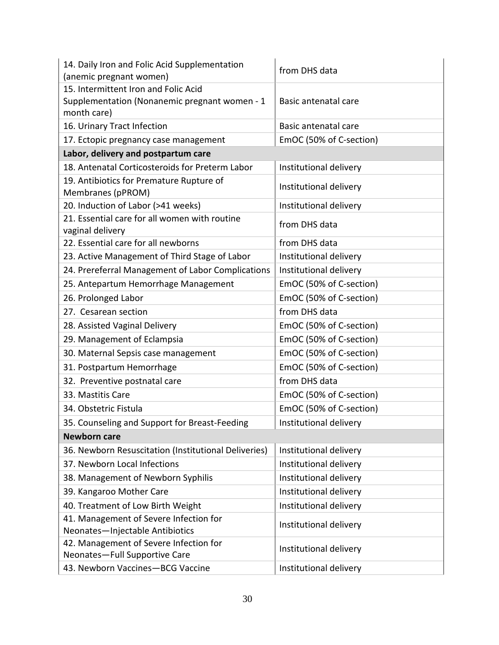| 14. Daily Iron and Folic Acid Supplementation<br>(anemic pregnant women) | from DHS data           |
|--------------------------------------------------------------------------|-------------------------|
| 15. Intermittent Iron and Folic Acid                                     |                         |
| Supplementation (Nonanemic pregnant women - 1                            | Basic antenatal care    |
| month care)                                                              |                         |
| 16. Urinary Tract Infection                                              | Basic antenatal care    |
| 17. Ectopic pregnancy case management                                    | EmOC (50% of C-section) |
| Labor, delivery and postpartum care                                      |                         |
| 18. Antenatal Corticosteroids for Preterm Labor                          | Institutional delivery  |
| 19. Antibiotics for Premature Rupture of<br>Membranes (pPROM)            | Institutional delivery  |
| 20. Induction of Labor (>41 weeks)                                       | Institutional delivery  |
| 21. Essential care for all women with routine<br>vaginal delivery        | from DHS data           |
| 22. Essential care for all newborns                                      | from DHS data           |
| 23. Active Management of Third Stage of Labor                            | Institutional delivery  |
| 24. Prereferral Management of Labor Complications                        | Institutional delivery  |
| 25. Antepartum Hemorrhage Management                                     | EmOC (50% of C-section) |
| 26. Prolonged Labor                                                      | EmOC (50% of C-section) |
| 27. Cesarean section                                                     | from DHS data           |
| 28. Assisted Vaginal Delivery                                            | EmOC (50% of C-section) |
| 29. Management of Eclampsia                                              | EmOC (50% of C-section) |
| 30. Maternal Sepsis case management                                      | EmOC (50% of C-section) |
| 31. Postpartum Hemorrhage                                                | EmOC (50% of C-section) |
| 32. Preventive postnatal care                                            | from DHS data           |
| 33. Mastitis Care                                                        | EmOC (50% of C-section) |
| 34. Obstetric Fistula                                                    | EmOC (50% of C-section) |
| 35. Counseling and Support for Breast-Feeding                            | Institutional delivery  |
| <b>Newborn care</b>                                                      |                         |
| 36. Newborn Resuscitation (Institutional Deliveries)                     | Institutional delivery  |
| 37. Newborn Local Infections                                             | Institutional delivery  |
| 38. Management of Newborn Syphilis                                       | Institutional delivery  |
| 39. Kangaroo Mother Care                                                 | Institutional delivery  |
| 40. Treatment of Low Birth Weight                                        | Institutional delivery  |
| 41. Management of Severe Infection for                                   |                         |
| Neonates-Injectable Antibiotics                                          | Institutional delivery  |
| 42. Management of Severe Infection for<br>Neonates-Full Supportive Care  | Institutional delivery  |
| 43. Newborn Vaccines-BCG Vaccine                                         | Institutional delivery  |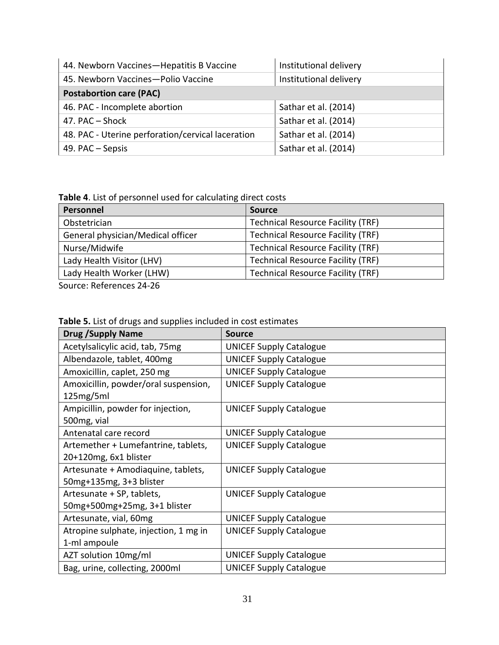| 44. Newborn Vaccines-Hepatitis B Vaccine          | Institutional delivery |
|---------------------------------------------------|------------------------|
| 45. Newborn Vaccines-Polio Vaccine                | Institutional delivery |
| <b>Postabortion care (PAC)</b>                    |                        |
| 46. PAC - Incomplete abortion                     | Sathar et al. (2014)   |
| 47. PAC - Shock                                   | Sathar et al. (2014)   |
| 48. PAC - Uterine perforation/cervical laceration | Sathar et al. (2014)   |
| 49. PAC – Sepsis                                  | Sathar et al. (2014)   |

**Table 4**. List of personnel used for calculating direct costs

| Personnel                         | <b>Source</b>                            |
|-----------------------------------|------------------------------------------|
| Obstetrician                      | <b>Technical Resource Facility (TRF)</b> |
| General physician/Medical officer | <b>Technical Resource Facility (TRF)</b> |
| Nurse/Midwife                     | <b>Technical Resource Facility (TRF)</b> |
| Lady Health Visitor (LHV)         | <b>Technical Resource Facility (TRF)</b> |
| Lady Health Worker (LHW)          | <b>Technical Resource Facility (TRF)</b> |

Source: References 24-26

| Table 5. List of drugs and supplies included in cost estimates |  |
|----------------------------------------------------------------|--|
|----------------------------------------------------------------|--|

| <b>Drug /Supply Name</b>              | Source                         |
|---------------------------------------|--------------------------------|
| Acetylsalicylic acid, tab, 75mg       | <b>UNICEF Supply Catalogue</b> |
| Albendazole, tablet, 400mg            | <b>UNICEF Supply Catalogue</b> |
| Amoxicillin, caplet, 250 mg           | <b>UNICEF Supply Catalogue</b> |
| Amoxicillin, powder/oral suspension,  | <b>UNICEF Supply Catalogue</b> |
| 125mg/5ml                             |                                |
| Ampicillin, powder for injection,     | <b>UNICEF Supply Catalogue</b> |
| 500mg, vial                           |                                |
| Antenatal care record                 | <b>UNICEF Supply Catalogue</b> |
| Artemether + Lumefantrine, tablets,   | <b>UNICEF Supply Catalogue</b> |
| 20+120mg, 6x1 blister                 |                                |
| Artesunate + Amodiaquine, tablets,    | <b>UNICEF Supply Catalogue</b> |
| 50mg+135mg, 3+3 blister               |                                |
| Artesunate + SP, tablets,             | <b>UNICEF Supply Catalogue</b> |
| 50mg+500mg+25mg, 3+1 blister          |                                |
| Artesunate, vial, 60mg                | <b>UNICEF Supply Catalogue</b> |
| Atropine sulphate, injection, 1 mg in | <b>UNICEF Supply Catalogue</b> |
| 1-ml ampoule                          |                                |
| AZT solution 10mg/ml                  | <b>UNICEF Supply Catalogue</b> |
| Bag, urine, collecting, 2000ml        | <b>UNICEF Supply Catalogue</b> |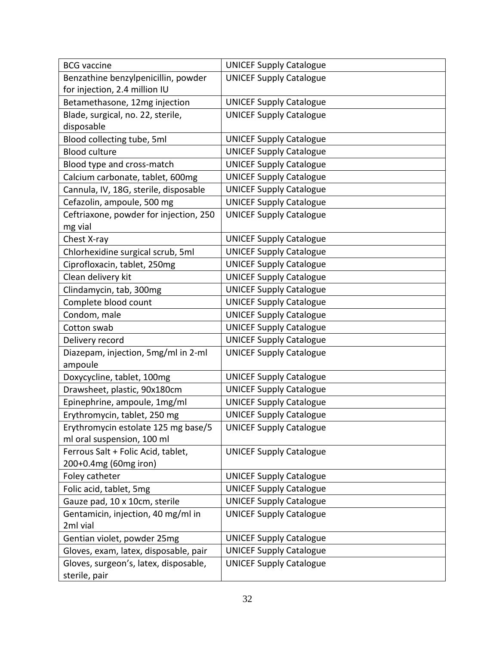| <b>BCG</b> vaccine                     | <b>UNICEF Supply Catalogue</b> |
|----------------------------------------|--------------------------------|
| Benzathine benzylpenicillin, powder    | <b>UNICEF Supply Catalogue</b> |
| for injection, 2.4 million IU          |                                |
| Betamethasone, 12mg injection          | <b>UNICEF Supply Catalogue</b> |
| Blade, surgical, no. 22, sterile,      | <b>UNICEF Supply Catalogue</b> |
| disposable                             |                                |
| Blood collecting tube, 5ml             | <b>UNICEF Supply Catalogue</b> |
| <b>Blood culture</b>                   | <b>UNICEF Supply Catalogue</b> |
| Blood type and cross-match             | <b>UNICEF Supply Catalogue</b> |
| Calcium carbonate, tablet, 600mg       | <b>UNICEF Supply Catalogue</b> |
| Cannula, IV, 18G, sterile, disposable  | <b>UNICEF Supply Catalogue</b> |
| Cefazolin, ampoule, 500 mg             | <b>UNICEF Supply Catalogue</b> |
| Ceftriaxone, powder for injection, 250 | <b>UNICEF Supply Catalogue</b> |
| mg vial                                |                                |
| Chest X-ray                            | <b>UNICEF Supply Catalogue</b> |
| Chlorhexidine surgical scrub, 5ml      | <b>UNICEF Supply Catalogue</b> |
| Ciprofloxacin, tablet, 250mg           | <b>UNICEF Supply Catalogue</b> |
| Clean delivery kit                     | <b>UNICEF Supply Catalogue</b> |
| Clindamycin, tab, 300mg                | <b>UNICEF Supply Catalogue</b> |
| Complete blood count                   | <b>UNICEF Supply Catalogue</b> |
| Condom, male                           | <b>UNICEF Supply Catalogue</b> |
| Cotton swab                            | <b>UNICEF Supply Catalogue</b> |
| Delivery record                        | <b>UNICEF Supply Catalogue</b> |
| Diazepam, injection, 5mg/ml in 2-ml    | <b>UNICEF Supply Catalogue</b> |
| ampoule                                |                                |
| Doxycycline, tablet, 100mg             | <b>UNICEF Supply Catalogue</b> |
| Drawsheet, plastic, 90x180cm           | <b>UNICEF Supply Catalogue</b> |
| Epinephrine, ampoule, 1mg/ml           | <b>UNICEF Supply Catalogue</b> |
| Erythromycin, tablet, 250 mg           | <b>UNICEF Supply Catalogue</b> |
| Erythromycin estolate 125 mg base/5    | <b>UNICEF Supply Catalogue</b> |
| ml oral suspension, 100 ml             |                                |
| Ferrous Salt + Folic Acid, tablet,     | <b>UNICEF Supply Catalogue</b> |
| 200+0.4mg (60mg iron)                  |                                |
| Foley catheter                         | <b>UNICEF Supply Catalogue</b> |
| Folic acid, tablet, 5mg                | <b>UNICEF Supply Catalogue</b> |
| Gauze pad, 10 x 10cm, sterile          | <b>UNICEF Supply Catalogue</b> |
| Gentamicin, injection, 40 mg/ml in     | <b>UNICEF Supply Catalogue</b> |
| 2ml vial                               |                                |
| Gentian violet, powder 25mg            | <b>UNICEF Supply Catalogue</b> |
| Gloves, exam, latex, disposable, pair  | <b>UNICEF Supply Catalogue</b> |
| Gloves, surgeon's, latex, disposable,  | <b>UNICEF Supply Catalogue</b> |
| sterile, pair                          |                                |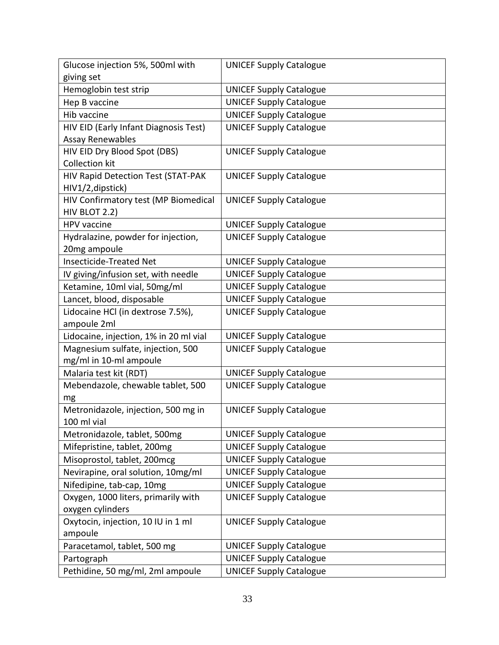| Glucose injection 5%, 500ml with       | <b>UNICEF Supply Catalogue</b> |
|----------------------------------------|--------------------------------|
| giving set                             |                                |
| Hemoglobin test strip                  | <b>UNICEF Supply Catalogue</b> |
| Hep B vaccine                          | <b>UNICEF Supply Catalogue</b> |
| Hib vaccine                            | <b>UNICEF Supply Catalogue</b> |
| HIV EID (Early Infant Diagnosis Test)  | <b>UNICEF Supply Catalogue</b> |
| <b>Assay Renewables</b>                |                                |
| HIV EID Dry Blood Spot (DBS)           | <b>UNICEF Supply Catalogue</b> |
| <b>Collection kit</b>                  |                                |
| HIV Rapid Detection Test (STAT-PAK     | <b>UNICEF Supply Catalogue</b> |
| HIV1/2, dipstick)                      |                                |
| HIV Confirmatory test (MP Biomedical   | <b>UNICEF Supply Catalogue</b> |
| HIV BLOT 2.2)                          |                                |
| <b>HPV</b> vaccine                     | <b>UNICEF Supply Catalogue</b> |
| Hydralazine, powder for injection,     | <b>UNICEF Supply Catalogue</b> |
| 20mg ampoule                           |                                |
| <b>Insecticide-Treated Net</b>         | <b>UNICEF Supply Catalogue</b> |
| IV giving/infusion set, with needle    | <b>UNICEF Supply Catalogue</b> |
| Ketamine, 10ml vial, 50mg/ml           | <b>UNICEF Supply Catalogue</b> |
| Lancet, blood, disposable              | <b>UNICEF Supply Catalogue</b> |
| Lidocaine HCl (in dextrose 7.5%),      | <b>UNICEF Supply Catalogue</b> |
| ampoule 2ml                            |                                |
| Lidocaine, injection, 1% in 20 ml vial | <b>UNICEF Supply Catalogue</b> |
| Magnesium sulfate, injection, 500      | <b>UNICEF Supply Catalogue</b> |
| mg/ml in 10-ml ampoule                 |                                |
| Malaria test kit (RDT)                 | <b>UNICEF Supply Catalogue</b> |
| Mebendazole, chewable tablet, 500      | <b>UNICEF Supply Catalogue</b> |
| mg                                     |                                |
| Metronidazole, injection, 500 mg in    | <b>UNICEF Supply Catalogue</b> |
| 100 ml vial                            |                                |
| Metronidazole, tablet, 500mg           | <b>UNICEF Supply Catalogue</b> |
| Mifepristine, tablet, 200mg            | <b>UNICEF Supply Catalogue</b> |
| Misoprostol, tablet, 200mcg            | <b>UNICEF Supply Catalogue</b> |
| Nevirapine, oral solution, 10mg/ml     | <b>UNICEF Supply Catalogue</b> |
| Nifedipine, tab-cap, 10mg              | <b>UNICEF Supply Catalogue</b> |
| Oxygen, 1000 liters, primarily with    | <b>UNICEF Supply Catalogue</b> |
| oxygen cylinders                       |                                |
| Oxytocin, injection, 10 IU in 1 ml     | <b>UNICEF Supply Catalogue</b> |
| ampoule                                |                                |
| Paracetamol, tablet, 500 mg            | <b>UNICEF Supply Catalogue</b> |
| Partograph                             | <b>UNICEF Supply Catalogue</b> |
| Pethidine, 50 mg/ml, 2ml ampoule       | <b>UNICEF Supply Catalogue</b> |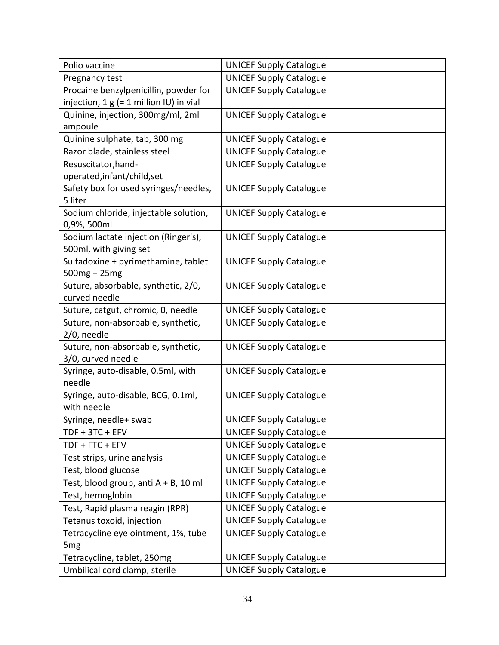| Polio vaccine                             | <b>UNICEF Supply Catalogue</b> |
|-------------------------------------------|--------------------------------|
| Pregnancy test                            | <b>UNICEF Supply Catalogue</b> |
| Procaine benzylpenicillin, powder for     | <b>UNICEF Supply Catalogue</b> |
| injection, $1 g (= 1$ million IU) in vial |                                |
| Quinine, injection, 300mg/ml, 2ml         | <b>UNICEF Supply Catalogue</b> |
| ampoule                                   |                                |
| Quinine sulphate, tab, 300 mg             | <b>UNICEF Supply Catalogue</b> |
| Razor blade, stainless steel              | <b>UNICEF Supply Catalogue</b> |
| Resuscitator, hand-                       | <b>UNICEF Supply Catalogue</b> |
| operated, infant/child, set               |                                |
| Safety box for used syringes/needles,     | <b>UNICEF Supply Catalogue</b> |
| 5 liter                                   |                                |
| Sodium chloride, injectable solution,     | <b>UNICEF Supply Catalogue</b> |
| 0,9%, 500ml                               |                                |
| Sodium lactate injection (Ringer's),      | <b>UNICEF Supply Catalogue</b> |
| 500ml, with giving set                    |                                |
| Sulfadoxine + pyrimethamine, tablet       | <b>UNICEF Supply Catalogue</b> |
| 500mg + 25mg                              |                                |
| Suture, absorbable, synthetic, 2/0,       | <b>UNICEF Supply Catalogue</b> |
| curved needle                             |                                |
| Suture, catgut, chromic, 0, needle        | <b>UNICEF Supply Catalogue</b> |
| Suture, non-absorbable, synthetic,        | <b>UNICEF Supply Catalogue</b> |
| 2/0, needle                               |                                |
| Suture, non-absorbable, synthetic,        | <b>UNICEF Supply Catalogue</b> |
| 3/0, curved needle                        |                                |
| Syringe, auto-disable, 0.5ml, with        | <b>UNICEF Supply Catalogue</b> |
| needle                                    |                                |
| Syringe, auto-disable, BCG, 0.1ml,        | <b>UNICEF Supply Catalogue</b> |
| with needle                               |                                |
| Syringe, needle+ swab                     | <b>UNICEF Supply Catalogue</b> |
| TDF + 3TC + EFV                           | <b>UNICEF Supply Catalogue</b> |
| TDF + FTC + EFV                           | <b>UNICEF Supply Catalogue</b> |
| Test strips, urine analysis               | <b>UNICEF Supply Catalogue</b> |
| Test, blood glucose                       | <b>UNICEF Supply Catalogue</b> |
| Test, blood group, anti $A + B$ , 10 ml   | <b>UNICEF Supply Catalogue</b> |
| Test, hemoglobin                          | <b>UNICEF Supply Catalogue</b> |
| Test, Rapid plasma reagin (RPR)           | <b>UNICEF Supply Catalogue</b> |
| Tetanus toxoid, injection                 | <b>UNICEF Supply Catalogue</b> |
| Tetracycline eye ointment, 1%, tube       | <b>UNICEF Supply Catalogue</b> |
| 5 <sub>mg</sub>                           |                                |
| Tetracycline, tablet, 250mg               | <b>UNICEF Supply Catalogue</b> |
| Umbilical cord clamp, sterile             | <b>UNICEF Supply Catalogue</b> |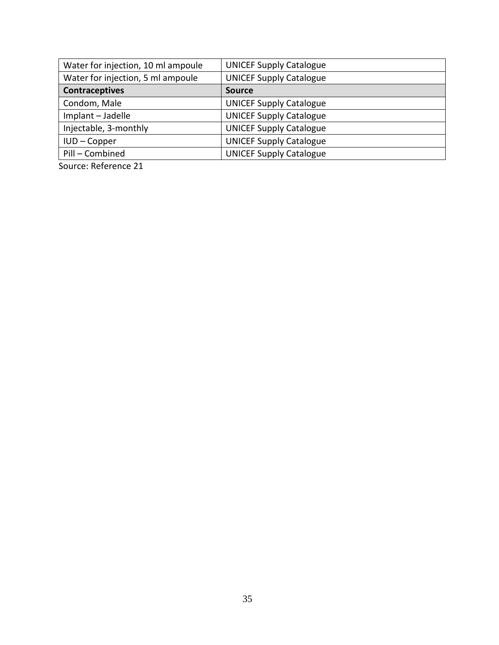| Water for injection, 10 ml ampoule | <b>UNICEF Supply Catalogue</b> |
|------------------------------------|--------------------------------|
| Water for injection, 5 ml ampoule  | <b>UNICEF Supply Catalogue</b> |
| <b>Contraceptives</b>              | <b>Source</b>                  |
| Condom, Male                       | <b>UNICEF Supply Catalogue</b> |
| Implant - Jadelle                  | <b>UNICEF Supply Catalogue</b> |
| Injectable, 3-monthly              | <b>UNICEF Supply Catalogue</b> |
| IUD-Copper                         | <b>UNICEF Supply Catalogue</b> |
| Pill - Combined                    | <b>UNICEF Supply Catalogue</b> |
|                                    |                                |

Source: Reference 21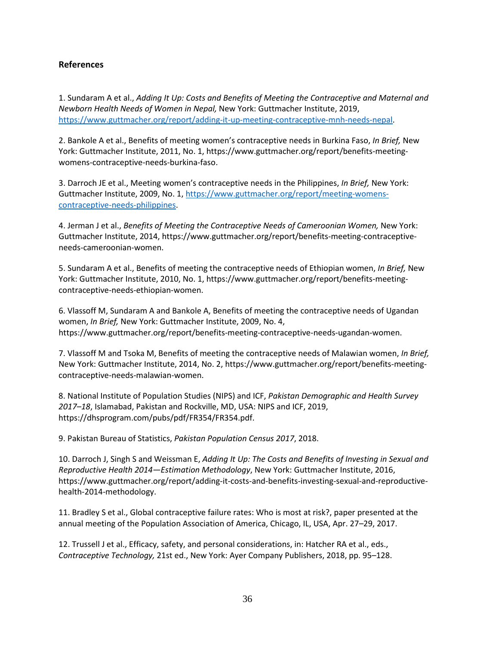### **References**

1. Sundaram A et al., *Adding It Up: Costs and Benefits of Meeting the Contraceptive and Maternal and Newborn Health Needs of Women in Nepal,* New York: Guttmacher Institute, 2019, [https://www.guttmacher.org/report/adding-it-up-meeting-contraceptive-mnh-needs-nepal.](https://www.guttmacher.org/report/adding-it-up-meeting-contraceptive-mnh-needs-nepal)

2. Bankole A et al., Benefits of meeting women's contraceptive needs in Burkina Faso, *In Brief,* New York: Guttmacher Institute, 2011, No. 1, https://www.guttmacher.org/report/benefits-meetingwomens-contraceptive-needs-burkina-faso.

3. Darroch JE et al., Meeting women's contraceptive needs in the Philippines, *In Brief,* New York: Guttmacher Institute, 2009, No. 1, [https://www.guttmacher.org/report/meeting-womens](https://www.guttmacher.org/report/meeting-womens-contraceptive-needs-philippines)[contraceptive-needs-philippines.](https://www.guttmacher.org/report/meeting-womens-contraceptive-needs-philippines)

4. Jerman J et al., *Benefits of Meeting the Contraceptive Needs of Cameroonian Women,* New York: Guttmacher Institute, 2014, https://www.guttmacher.org/report/benefits-meeting-contraceptiveneeds-cameroonian-women.

5. Sundaram A et al., Benefits of meeting the contraceptive needs of Ethiopian women, *In Brief,* New York: Guttmacher Institute, 2010, No. 1, https://www.guttmacher.org/report/benefits-meetingcontraceptive-needs-ethiopian-women.

6. Vlassoff M, Sundaram A and Bankole A, Benefits of meeting the contraceptive needs of Ugandan women, *In Brief,* New York: Guttmacher Institute, 2009, No. 4, https://www.guttmacher.org/report/benefits-meeting-contraceptive-needs-ugandan-women.

7. Vlassoff M and Tsoka M, Benefits of meeting the contraceptive needs of Malawian women, *In Brief,* New York: Guttmacher Institute, 2014, No. 2, https://www.guttmacher.org/report/benefits-meetingcontraceptive-needs-malawian-women.

8. National Institute of Population Studies (NIPS) and ICF, *Pakistan Demographic and Health Survey 2017–18*, Islamabad, Pakistan and Rockville, MD, USA: NIPS and ICF, 2019, https://dhsprogram.com/pubs/pdf/FR354/FR354.pdf.

9. Pakistan Bureau of Statistics, *Pakistan Population Census 2017*, 2018.

10. Darroch J, Singh S and Weissman E, *Adding It Up: The Costs and Benefits of Investing in Sexual and Reproductive Health 2014—Estimation Methodology*, New York: Guttmacher Institute, 2016, https://www.guttmacher.org/report/adding-it-costs-and-benefits-investing-sexual-and-reproductivehealth-2014-methodology.

11. Bradley S et al., Global contraceptive failure rates: Who is most at risk?, paper presented at the annual meeting of the Population Association of America, Chicago, IL, USA, Apr. 27–29, 2017.

12. Trussell J et al., Efficacy, safety, and personal considerations, in: Hatcher RA et al., eds., *Contraceptive Technology,* 21st ed., New York: Ayer Company Publishers, 2018, pp. 95–128.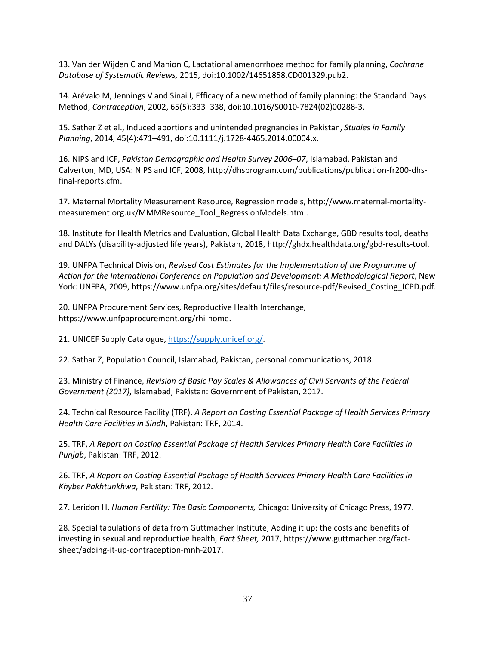13. Van der Wijden C and Manion C, Lactational amenorrhoea method for family planning, *Cochrane Database of Systematic Reviews,* 2015, doi:10.1002/14651858.CD001329.pub2.

14. Arévalo M, Jennings V and Sinai I, Efficacy of a new method of family planning: the Standard Days Method, *Contraception*, 2002, 65(5):333–338, doi:10.1016/S0010-7824(02)00288-3.

15. Sather Z et al., Induced abortions and unintended pregnancies in Pakistan, *Studies in Family Planning*, 2014, 45(4):471–491, doi:10.1111/j.1728-4465.2014.00004.x.

16. NIPS and ICF, *Pakistan Demographic and Health Survey 2006–07*, Islamabad, Pakistan and Calverton, MD, USA: NIPS and ICF, 2008, http://dhsprogram.com/publications/publication-fr200-dhsfinal-reports.cfm.

17. Maternal Mortality Measurement Resource, Regression models, http://www.maternal-mortalitymeasurement.org.uk/MMMResource\_Tool\_RegressionModels.html.

18. Institute for Health Metrics and Evaluation, Global Health Data Exchange, GBD results tool, deaths and DALYs (disability-adjusted life years), Pakistan, 2018, http://ghdx.healthdata.org/gbd-results-tool.

19. UNFPA Technical Division, *Revised Cost Estimates for the Implementation of the Programme of Action for the International Conference on Population and Development: A Methodological Report*, New York: UNFPA, 2009, https://www.unfpa.org/sites/default/files/resource-pdf/Revised\_Costing\_ICPD.pdf.

20. UNFPA Procurement Services, Reproductive Health Interchange, https://www.unfpaprocurement.org/rhi-home.

21. UNICEF Supply Catalogue[, https://supply.unicef.org/.](https://supply.unicef.org/)

22. Sathar Z, Population Council, Islamabad, Pakistan, personal communications, 2018.

23. Ministry of Finance, *Revision of Basic Pay Scales & Allowances of Civil Servants of the Federal Government (2017)*, Islamabad, Pakistan: Government of Pakistan, 2017.

24. Technical Resource Facility (TRF), *A Report on Costing Essential Package of Health Services Primary Health Care Facilities in Sindh*, Pakistan: TRF, 2014.

25. TRF, *A Report on Costing Essential Package of Health Services Primary Health Care Facilities in Punjab*, Pakistan: TRF, 2012.

26. TRF, *A Report on Costing Essential Package of Health Services Primary Health Care Facilities in Khyber Pakhtunkhwa*, Pakistan: TRF, 2012.

27. Leridon H, *Human Fertility: The Basic Components,* Chicago: University of Chicago Press, 1977.

28. Special tabulations of data from Guttmacher Institute, Adding it up: the costs and benefits of investing in sexual and reproductive health, *Fact Sheet,* 2017, https://www.guttmacher.org/factsheet/adding-it-up-contraception-mnh-2017.